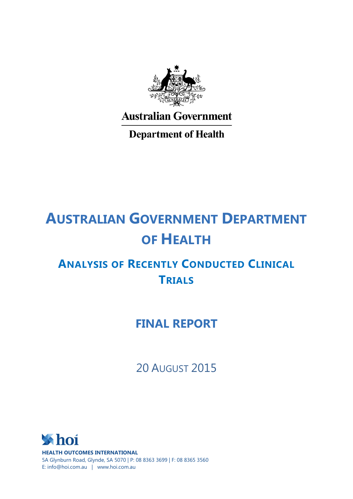

**Australian Government** 

**Department of Health** 

# **AUSTRALIAN GOVERNMENT DEPARTMENT OF HEALTH**

## **ANALYSIS OF RECENTLY CONDUCTED CLINICAL TRIALS**

## **FINAL REPORT**

20 AUGUST 2015

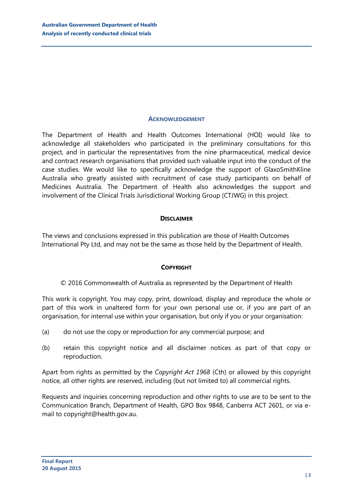#### **ACKNOWLEDGEMENT**

The Department of Health and Health Outcomes International (HOI) would like to acknowledge all stakeholders who participated in the preliminary consultations for this project, and in particular the representatives from the nine pharmaceutical, medical device and contract research organisations that provided such valuable input into the conduct of the case studies. We would like to specifically acknowledge the support of GlaxoSmithKline Australia who greatly assisted with recruitment of case study participants on behalf of Medicines Australia. The Department of Health also acknowledges the support and involvement of the Clinical Trials Jurisdictional Working Group (CTJWG) in this project.

#### **DISCLAIMER**

The views and conclusions expressed in this publication are those of Health Outcomes International Pty Ltd, and may not be the same as those held by the Department of Health.

#### **COPYRIGHT**

© 2016 Commonwealth of Australia as represented by the Department of Health

This work is copyright. You may copy, print, download, display and reproduce the whole or part of this work in unaltered form for your own personal use or, if you are part of an organisation, for internal use within your organisation, but only if you or your organisation:

- (a) do not use the copy or reproduction for any commercial purpose; and
- (b) retain this copyright notice and all disclaimer notices as part of that copy or reproduction.

Apart from rights as permitted by the *Copyright Act 1968* (Cth) or allowed by this copyright notice*,* all other rights are reserved, including (but not limited to) all commercial rights.

Requests and inquiries concerning reproduction and other rights to use are to be sent to the Communication Branch, Department of Health, GPO Box 9848, Canberra ACT 2601, or via email to copyright@health.gov.au.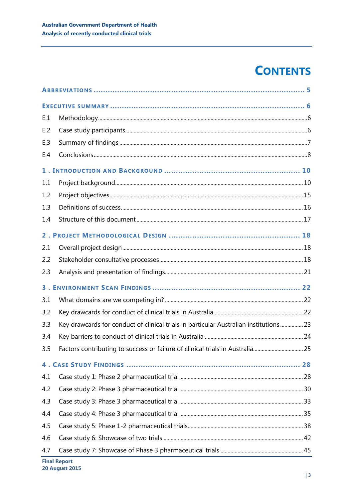## **CONTENTS**

| E.1   |                                                                                       |  |  |
|-------|---------------------------------------------------------------------------------------|--|--|
| E.2   |                                                                                       |  |  |
| E.3   |                                                                                       |  |  |
| E.4   |                                                                                       |  |  |
|       |                                                                                       |  |  |
| 1.1   |                                                                                       |  |  |
| 1.2   |                                                                                       |  |  |
| 1.3   |                                                                                       |  |  |
| 1.4   |                                                                                       |  |  |
| $2$ . |                                                                                       |  |  |
| 2.1   |                                                                                       |  |  |
| 2.2   |                                                                                       |  |  |
| 2.3   |                                                                                       |  |  |
| 3.    |                                                                                       |  |  |
| 3.1   |                                                                                       |  |  |
| 3.2   |                                                                                       |  |  |
| 3.3   | Key drawcards for conduct of clinical trials in particular Australian institutions 23 |  |  |
| 3.4   |                                                                                       |  |  |
| 3.5   |                                                                                       |  |  |
|       |                                                                                       |  |  |
| 4.1   |                                                                                       |  |  |
| 4.2   |                                                                                       |  |  |
| 4.3   |                                                                                       |  |  |
| 4.4   |                                                                                       |  |  |
| 4.5   |                                                                                       |  |  |
| 4.6   |                                                                                       |  |  |
| 4.7   |                                                                                       |  |  |
|       | <b>Final Report</b>                                                                   |  |  |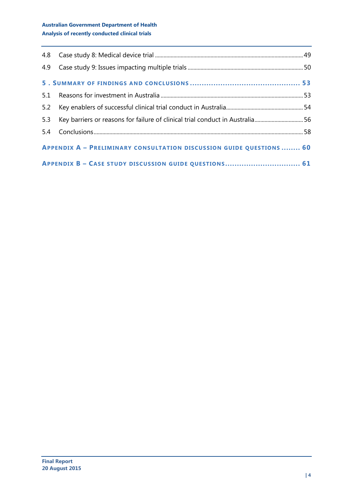## **Australian Government Department of Health Analysis of recently conducted clinical trials**

| 5.1                                                                  |                                                                              |  |  |
|----------------------------------------------------------------------|------------------------------------------------------------------------------|--|--|
| 5.2                                                                  |                                                                              |  |  |
| 5.3                                                                  | Key barriers or reasons for failure of clinical trial conduct in Australia56 |  |  |
|                                                                      |                                                                              |  |  |
| APPENDIX A - PRELIMINARY CONSULTATION DISCUSSION GUIDE QUESTIONS  60 |                                                                              |  |  |
| APPENDIX B - CASE STUDY DISCUSSION GUIDE QUESTIONS 61                |                                                                              |  |  |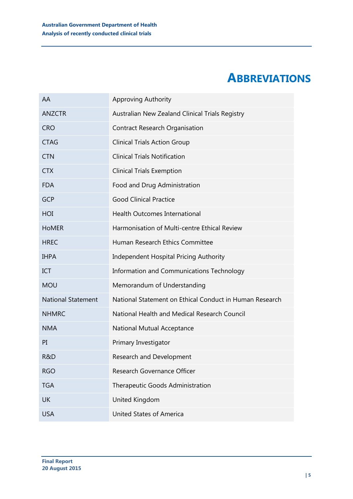## **ABBREVIATIONS**

<span id="page-4-0"></span>

| AA                        | <b>Approving Authority</b>                              |
|---------------------------|---------------------------------------------------------|
| <b>ANZCTR</b>             | Australian New Zealand Clinical Trials Registry         |
| <b>CRO</b>                | <b>Contract Research Organisation</b>                   |
| <b>CTAG</b>               | <b>Clinical Trials Action Group</b>                     |
| <b>CTN</b>                | <b>Clinical Trials Notification</b>                     |
| <b>CTX</b>                | <b>Clinical Trials Exemption</b>                        |
| <b>FDA</b>                | Food and Drug Administration                            |
| <b>GCP</b>                | <b>Good Clinical Practice</b>                           |
| HOI                       | <b>Health Outcomes International</b>                    |
| <b>HOMER</b>              | Harmonisation of Multi-centre Ethical Review            |
| <b>HREC</b>               | Human Research Ethics Committee                         |
| <b>IHPA</b>               | <b>Independent Hospital Pricing Authority</b>           |
| ICT                       | Information and Communications Technology               |
| <b>MOU</b>                | Memorandum of Understanding                             |
| <b>National Statement</b> | National Statement on Ethical Conduct in Human Research |
| <b>NHMRC</b>              | National Health and Medical Research Council            |
| <b>NMA</b>                | National Mutual Acceptance                              |
| PI                        | Primary Investigator                                    |
| R&D                       | Research and Development                                |
| <b>RGO</b>                | Research Governance Officer                             |
| <b>TGA</b>                | Therapeutic Goods Administration                        |
| <b>UK</b>                 | United Kingdom                                          |
| <b>USA</b>                | <b>United States of America</b>                         |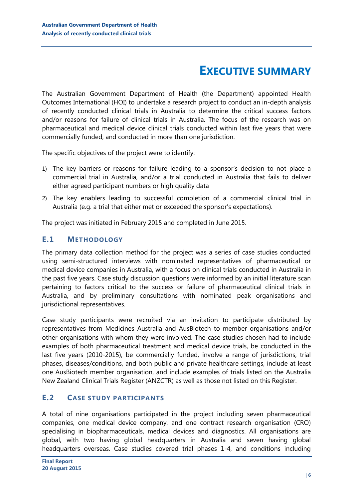## **EXECUTIVE SUMMARY**

<span id="page-5-0"></span>The Australian Government Department of Health (the Department) appointed Health Outcomes International (HOI) to undertake a research project to conduct an in-depth analysis of recently conducted clinical trials in Australia to determine the critical success factors and/or reasons for failure of clinical trials in Australia. The focus of the research was on pharmaceutical and medical device clinical trials conducted within last five years that were commercially funded, and conducted in more than one jurisdiction.

The specific objectives of the project were to identify:

- 1) The key barriers or reasons for failure leading to a sponsor's decision to not place a commercial trial in Australia, and/or a trial conducted in Australia that fails to deliver either agreed participant numbers or high quality data
- 2) The key enablers leading to successful completion of a commercial clinical trial in Australia (e.g. a trial that either met or exceeded the sponsor's expectations).

The project was initiated in February 2015 and completed in June 2015.

## <span id="page-5-1"></span>**E.1 METHODOLOGY**

The primary data collection method for the project was a series of case studies conducted using semi-structured interviews with nominated representatives of pharmaceutical or medical device companies in Australia, with a focus on clinical trials conducted in Australia in the past five years. Case study discussion questions were informed by an initial literature scan pertaining to factors critical to the success or failure of pharmaceutical clinical trials in Australia, and by preliminary consultations with nominated peak organisations and jurisdictional representatives.

Case study participants were recruited via an invitation to participate distributed by representatives from Medicines Australia and AusBiotech to member organisations and/or other organisations with whom they were involved. The case studies chosen had to include examples of both pharmaceutical treatment and medical device trials, be conducted in the last five years (2010-2015), be commercially funded, involve a range of jurisdictions, trial phases, diseases/conditions, and both public and private healthcare settings, include at least one AusBiotech member organisation, and include examples of trials listed on the Australia New Zealand Clinical Trials Register (ANZCTR) as well as those not listed on this Register.

## <span id="page-5-2"></span>**E.2 CASE STUDY PARTICIPANTS**

A total of nine organisations participated in the project including seven pharmaceutical companies, one medical device company, and one contract research organisation (CRO) specialising in biopharmaceuticals, medical devices and diagnostics. All organisations are global, with two having global headquarters in Australia and seven having global headquarters overseas. Case studies covered trial phases 1-4, and conditions including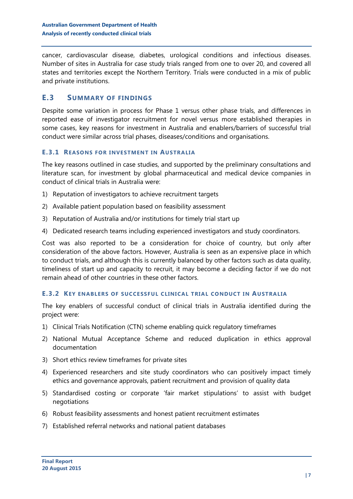cancer, cardiovascular disease, diabetes, urological conditions and infectious diseases. Number of sites in Australia for case study trials ranged from one to over 20, and covered all states and territories except the Northern Territory. Trials were conducted in a mix of public and private institutions.

## <span id="page-6-0"></span>**E.3 SUMMARY OF FINDINGS**

Despite some variation in process for Phase 1 versus other phase trials, and differences in reported ease of investigator recruitment for novel versus more established therapies in some cases, key reasons for investment in Australia and enablers/barriers of successful trial conduct were similar across trial phases, diseases/conditions and organisations.

#### **E.3.1 REASONS FOR INVESTMENT IN AUSTRALIA**

The key reasons outlined in case studies, and supported by the preliminary consultations and literature scan, for investment by global pharmaceutical and medical device companies in conduct of clinical trials in Australia were:

- 1) Reputation of investigators to achieve recruitment targets
- 2) Available patient population based on feasibility assessment
- 3) Reputation of Australia and/or institutions for timely trial start up
- 4) Dedicated research teams including experienced investigators and study coordinators.

Cost was also reported to be a consideration for choice of country, but only after consideration of the above factors. However, Australia is seen as an expensive place in which to conduct trials, and although this is currently balanced by other factors such as data quality, timeliness of start up and capacity to recruit, it may become a deciding factor if we do not remain ahead of other countries in these other factors.

#### **E.3.2 KEY ENABLERS OF SUCCESSFUL CLINICAL TRIAL CONDUCT IN AUSTRALIA**

The key enablers of successful conduct of clinical trials in Australia identified during the project were:

- 1) Clinical Trials Notification (CTN) scheme enabling quick regulatory timeframes
- 2) National Mutual Acceptance Scheme and reduced duplication in ethics approval documentation
- 3) Short ethics review timeframes for private sites
- 4) Experienced researchers and site study coordinators who can positively impact timely ethics and governance approvals, patient recruitment and provision of quality data
- 5) Standardised costing or corporate 'fair market stipulations' to assist with budget negotiations
- 6) Robust feasibility assessments and honest patient recruitment estimates
- 7) Established referral networks and national patient databases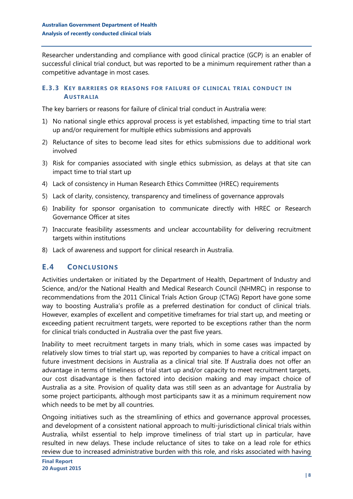Researcher understanding and compliance with good clinical practice (GCP) is an enabler of successful clinical trial conduct, but was reported to be a minimum requirement rather than a competitive advantage in most cases.

#### **E.3.3 KEY BARRIERS OR REASONS FOR FAILURE OF CLINICAL TRIAL CONDUCT IN AUSTRALIA**

The key barriers or reasons for failure of clinical trial conduct in Australia were:

- 1) No national single ethics approval process is yet established, impacting time to trial start up and/or requirement for multiple ethics submissions and approvals
- 2) Reluctance of sites to become lead sites for ethics submissions due to additional work involved
- 3) Risk for companies associated with single ethics submission, as delays at that site can impact time to trial start up
- 4) Lack of consistency in Human Research Ethics Committee (HREC) requirements
- 5) Lack of clarity, consistency, transparency and timeliness of governance approvals
- 6) Inability for sponsor organisation to communicate directly with HREC or Research Governance Officer at sites
- 7) Inaccurate feasibility assessments and unclear accountability for delivering recruitment targets within institutions
- 8) Lack of awareness and support for clinical research in Australia.

## <span id="page-7-0"></span>**E.4 CONCLUSIONS**

Activities undertaken or initiated by the Department of Health, Department of Industry and Science, and/or the National Health and Medical Research Council (NHMRC) in response to recommendations from the 2011 Clinical Trials Action Group (CTAG) Report have gone some way to boosting Australia's profile as a preferred destination for conduct of clinical trials. However, examples of excellent and competitive timeframes for trial start up, and meeting or exceeding patient recruitment targets, were reported to be exceptions rather than the norm for clinical trials conducted in Australia over the past five years.

Inability to meet recruitment targets in many trials, which in some cases was impacted by relatively slow times to trial start up, was reported by companies to have a critical impact on future investment decisions in Australia as a clinical trial site. If Australia does not offer an advantage in terms of timeliness of trial start up and/or capacity to meet recruitment targets, our cost disadvantage is then factored into decision making and may impact choice of Australia as a site. Provision of quality data was still seen as an advantage for Australia by some project participants, although most participants saw it as a minimum requirement now which needs to be met by all countries.

Ongoing initiatives such as the streamlining of ethics and governance approval processes, and development of a consistent national approach to multi-jurisdictional clinical trials within Australia, whilst essential to help improve timeliness of trial start up in particular, have resulted in new delays. These include reluctance of sites to take on a lead role for ethics review due to increased administrative burden with this role, and risks associated with having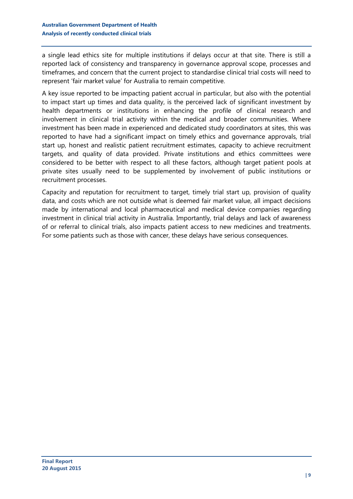a single lead ethics site for multiple institutions if delays occur at that site. There is still a reported lack of consistency and transparency in governance approval scope, processes and timeframes, and concern that the current project to standardise clinical trial costs will need to represent 'fair market value' for Australia to remain competitive.

A key issue reported to be impacting patient accrual in particular, but also with the potential to impact start up times and data quality, is the perceived lack of significant investment by health departments or institutions in enhancing the profile of clinical research and involvement in clinical trial activity within the medical and broader communities. Where investment has been made in experienced and dedicated study coordinators at sites, this was reported to have had a significant impact on timely ethics and governance approvals, trial start up, honest and realistic patient recruitment estimates, capacity to achieve recruitment targets, and quality of data provided. Private institutions and ethics committees were considered to be better with respect to all these factors, although target patient pools at private sites usually need to be supplemented by involvement of public institutions or recruitment processes.

Capacity and reputation for recruitment to target, timely trial start up, provision of quality data, and costs which are not outside what is deemed fair market value, all impact decisions made by international and local pharmaceutical and medical device companies regarding investment in clinical trial activity in Australia. Importantly, trial delays and lack of awareness of or referral to clinical trials, also impacts patient access to new medicines and treatments. For some patients such as those with cancer, these delays have serious consequences.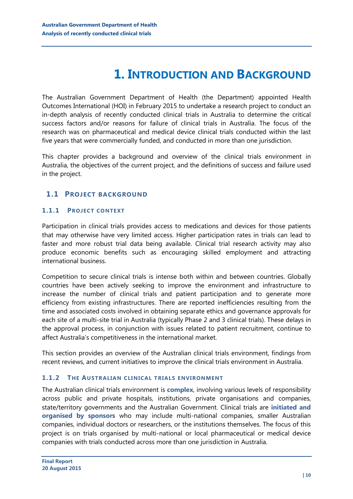## **1. INTRODUCTION AND BACKGROUND**

<span id="page-9-0"></span>The Australian Government Department of Health (the Department) appointed Health Outcomes International (HOI) in February 2015 to undertake a research project to conduct an in-depth analysis of recently conducted clinical trials in Australia to determine the critical success factors and/or reasons for failure of clinical trials in Australia. The focus of the research was on pharmaceutical and medical device clinical trials conducted within the last five years that were commercially funded, and conducted in more than one jurisdiction.

This chapter provides a background and overview of the clinical trials environment in Australia, the objectives of the current project, and the definitions of success and failure used in the project.

## <span id="page-9-1"></span>**1.1 PROJECT BACKGROUND**

#### **1.1.1 PROJECT CONTEXT**

Participation in clinical trials provides access to medications and devices for those patients that may otherwise have very limited access. Higher participation rates in trials can lead to faster and more robust trial data being available. Clinical trial research activity may also produce economic benefits such as encouraging skilled employment and attracting international business.

Competition to secure clinical trials is intense both within and between countries. Globally countries have been actively seeking to improve the environment and infrastructure to increase the number of clinical trials and patient participation and to generate more efficiency from existing infrastructures. There are reported inefficiencies resulting from the time and associated costs involved in obtaining separate ethics and governance approvals for each site of a multi-site trial in Australia (typically Phase 2 and 3 clinical trials). These delays in the approval process, in conjunction with issues related to patient recruitment, continue to affect Australia's competitiveness in the international market.

This section provides an overview of the Australian clinical trials environment, findings from recent reviews, and current initiatives to improve the clinical trials environment in Australia.

#### **1.1.2 THE AUSTRALIAN CLINICAL TRIALS ENVIRONMENT**

The Australian clinical trials environment is **complex**, involving various levels of responsibility across public and private hospitals, institutions, private organisations and companies, state/territory governments and the Australian Government. Clinical trials are **initiated and organised by sponsors** who may include multi-national companies, smaller Australian companies, individual doctors or researchers, or the institutions themselves. The focus of this project is on trials organised by multi-national or local pharmaceutical or medical device companies with trials conducted across more than one jurisdiction in Australia.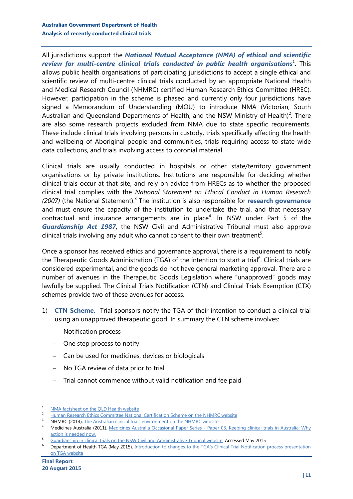All jurisdictions support the *National Mutual Acceptance (NMA) of ethical and scientific review for multi-centre clinical trials conducted in public health organisations* $^{\rm l}$ *.* This allows public health organisations of participating jurisdictions to accept a single ethical and scientific review of multi-centre clinical trials conducted by an appropriate National Health and Medical Research Council (NHMRC) certified Human Research Ethics Committee (HREC). However, participation in the scheme is phased and currently only four jurisdictions have signed a Memorandum of Understanding (MOU) to introduce NMA (Victorian, South Australian and Queensland Departments of Health, and the NSW Ministry of Health)<sup>2</sup>. There are also some research projects excluded from NMA due to state specific requirements. These include clinical trials involving persons in custody, trials specifically affecting the health and wellbeing of Aboriginal people and communities, trials requiring access to state-wide data collections, and trials involving access to coronial material.

Clinical trials are usually conducted in hospitals or other state/territory government organisations or by private institutions. Institutions are responsible for deciding whether clinical trials occur at that site, and rely on advice from HRECs as to whether the proposed clinical trial complies with the *National Statement on Ethical Conduct in Human Research*  (2007) (the National Statement).<sup>3</sup> The institution is also responsible for **research governance** and must ensure the capacity of the institution to undertake the trial, and that necessary contractual and insurance arrangements are in place<sup>4</sup>. In NSW under Part 5 of the *Guardianship Act 1987*, the NSW Civil and Administrative Tribunal must also approve clinical trials involving any adult who cannot consent to their own treatment<sup>5</sup>.

Once a sponsor has received ethics and governance approval, there is a requirement to notify the Therapeutic Goods Administration (TGA) of the intention to start a trial<sup>6</sup>. Clinical trials are considered experimental, and the goods do not have general marketing approval. There are a number of avenues in the Therapeutic Goods Legislation where "unapproved" goods may lawfully be supplied. The Clinical Trials Notification (CTN) and Clinical Trials Exemption (CTX) schemes provide two of these avenues for access.

- 1) **CTN Scheme.** Trial sponsors notify the TGA of their intention to conduct a clinical trial using an unapproved therapeutic good. In summary the CTN scheme involves:
	- Notification process
	- One step process to notify
	- Can be used for medicines, devices or biologicals
	- No TGA review of data prior to trial
	- Trial cannot commence without valid notification and fee paid

 $\frac{1}{2}$  [NMA factsheet on the QLD Health website](http://www.health.qld.gov.au/ohmr/documents/regu/nma_fact_sheet.pdf)

<sup>&</sup>lt;sup>2</sup> [Human Research Ethics Committee National Certification Scheme on the](https://hrep.nhmrc.gov.au/certification/hrecs) NHMRC website

NHMRC (2014), [The Australian clinical trials environment on the NHMRC website](https://www.nhmrc.gov.au/research/clinical-trials/australian-clinical-trials-environment)

<sup>4</sup> Medicines Australia (2011). Medicines Australia Occasional Paper Series - [Paper 03. Keeping clinical trials in Australia: Why](http://medicinesaustralia.com.au/issues-information/publications/occasional-papers)  [action is needed now.](http://medicinesaustralia.com.au/issues-information/publications/occasional-papers)

<sup>5</sup> [Guardianship in clinical trials on the NSW Civil and Administrative Tribunal website,](http://www.ncat.nsw.gov.au/Pages/guardianship/gt_matter_about/clinical_trials.aspx) Accessed May 2015

<sup>&</sup>lt;sup>6</sup> Department of Health TGA (May 2015). Introduction to changes to the TGA's Clinical Trial Notification process presentation [on TGA website](https://www.tga.gov.au/presentation-introduction-changes-tgas-clinical-trial-notification-ctn-process)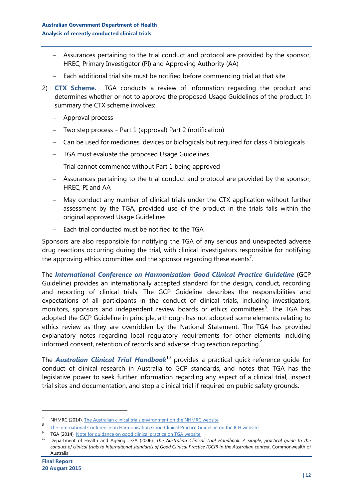- Assurances pertaining to the trial conduct and protocol are provided by the sponsor, HREC, Primary Investigator (PI) and Approving Authority (AA)
- Each additional trial site must be notified before commencing trial at that site
- 2) **CTX Scheme.** TGA conducts a review of information regarding the product and determines whether or not to approve the proposed Usage Guidelines of the product. In summary the CTX scheme involves:
	- Approval process
	- Two step process Part 1 (approval) Part 2 (notification)
	- Can be used for medicines, devices or biologicals but required for class 4 biologicals
	- TGA must evaluate the proposed Usage Guidelines
	- Trial cannot commence without Part 1 being approved
	- Assurances pertaining to the trial conduct and protocol are provided by the sponsor, HREC, PI and AA
	- May conduct any number of clinical trials under the CTX application without further assessment by the TGA, provided use of the product in the trials falls within the original approved Usage Guidelines
	- $-$  Each trial conducted must be notified to the TGA

Sponsors are also responsible for notifying the TGA of any serious and unexpected adverse drug reactions occurring during the trial, with clinical investigators responsible for notifying the approving ethics committee and the sponsor regarding these events<sup>7</sup>.

The *International Conference on Harmonisation Good Clinical Practice Guideline* (GCP Guideline) provides an internationally accepted standard for the design, conduct, recording and reporting of clinical trials. The GCP Guideline describes the responsibilities and expectations of all participants in the conduct of clinical trials, including investigators, monitors, sponsors and independent review boards or ethics committees<sup>8</sup>. The TGA has adopted the GCP Guideline in principle, although has not adopted some elements relating to ethics review as they are overridden by the National Statement. The TGA has provided explanatory notes regarding local regulatory requirements for other elements including informed consent, retention of records and adverse drug reaction reporting.<sup>9</sup>

The *Australian Clinical Trial Handbook*<sup>10</sup> provides a practical quick-reference guide for conduct of clinical research in Australia to GCP standards, and notes that TGA has the legislative power to seek further information regarding any aspect of a clinical trial, inspect trial sites and documentation, and stop a clinical trial if required on public safety grounds.

<sup>7</sup> NHMRC (2014), [The Australian clinical trials environment on the NHMRC website](https://www.nhmrc.gov.au/research/clinical-trials/australian-clinical-trials-environment) 

<sup>8</sup> [The International Conference on Harmonisation Good Clinical Practice Guideline on the ICH website](http://www.ich.org/products/guidelines/efficacy/efficacy-single/article/good-clinical-practice.html)

<sup>&</sup>lt;sup>9</sup> TGA (2014), [Note for guidance on good clinical practice on TGA website](http://www.tga.gov.au/publication/note-guidance-good-clinical-practice)

<sup>10</sup> Department of Health and Ageing: TGA (2006). *The Australian Clinical Trial Handbook: A simple, practical guide to the conduct of clinical trials to International standards of Good Clinical Practice (GCP) in the Australian context*. Commonwealth of Australia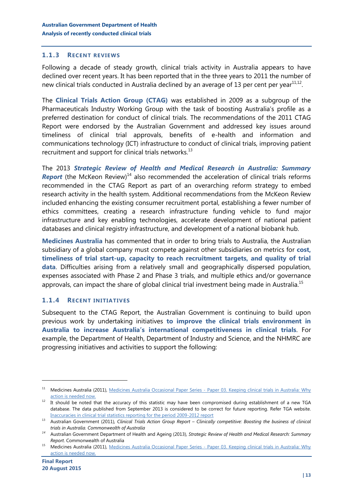#### **1.1.3 RECENT REVIEWS**

Following a decade of steady growth, clinical trials activity in Australia appears to have declined over recent years. It has been reported that in the three years to 2011 the number of new clinical trials conducted in Australia declined by an average of 13 per cent per year $^{11,12}$ .

The **Clinical Trials Action Group (CTAG)** was established in 2009 as a subgroup of the Pharmaceuticals Industry Working Group with the task of boosting Australia's profile as a preferred destination for conduct of clinical trials. The recommendations of the 2011 CTAG Report were endorsed by the Australian Government and addressed key issues around timeliness of clinical trial approvals, benefits of e-health and information and communications technology (ICT) infrastructure to conduct of clinical trials, improving patient recruitment and support for clinical trials networks. $^{13}$ 

The 2013 *Strategic Review of Health and Medical Research in Australia: Summary*  **Report** (the McKeon Review)<sup>14</sup> also recommended the acceleration of clinical trials reforms recommended in the CTAG Report as part of an overarching reform strategy to embed research activity in the health system. Additional recommendations from the McKeon Review included enhancing the existing consumer recruitment portal, establishing a fewer number of ethics committees, creating a research infrastructure funding vehicle to fund major infrastructure and key enabling technologies, accelerate development of national patient databases and clinical registry infrastructure, and development of a national biobank hub.

**Medicines Australia** has commented that in order to bring trials to Australia, the Australian subsidiary of a global company must compete against other subsidiaries on metrics for **cost, timeliness of trial start-up, capacity to reach recruitment targets, and quality of trial data**. Difficulties arising from a relatively small and geographically dispersed population, expenses associated with Phase 2 and Phase 3 trials, and multiple ethics and/or governance approvals, can impact the share of global clinical trial investment being made in Australia.<sup>15</sup>

#### **1.1.4 RECENT INITIATIVES**

Subsequent to the CTAG Report, the Australian Government is continuing to build upon previous work by undertaking initiatives **to improve the clinical trials environment in Australia to increase Australia's international competitiveness in clinical trials**. For example, the Department of Health, Department of Industry and Science, and the NHMRC are progressing initiatives and activities to support the following:

<sup>&</sup>lt;sup>11</sup> Medicines Australia (2011), Medicines Australia Occasional Paper Series - Paper 03. Keeping clinical trials in Australia: Why [action is needed now.](http://medicinesaustralia.com.au/issues-information/publications/occasional-papers)

<sup>12</sup> It should be noted that the accuracy of this statistic may have been compromised during establishment of a new TGA database. The data published from September 2013 is considered to be correct for future reporting. Refer TGA website. [Inaccuracies in clinical trial statistics reporting for the period 2009-2012 report](https://www.tga.gov.au/media-release/inaccuracies-clinical-trial-statistics-reporting-period-2009-2012)

<sup>13</sup> Australian Government (2011), *Clinical Trials Action Group Report – Clinically competitive: Boosting the business of clinical trials in Australia. Commonwealth of Australia*

*<sup>14</sup>* Australian Government Department of Health and Ageing (2013), *Strategic Review of Health and Medical Research: Summary Report*. Commonwealth of Australia

<sup>15</sup> Medicines Australia (2011), Medicines Australia Occasional Paper Series - [Paper 03. Keeping clinical trials in Australia: Why](http://medicinesaustralia.com.au/issues-information/publications/occasional-papers)  [action is needed now.](http://medicinesaustralia.com.au/issues-information/publications/occasional-papers)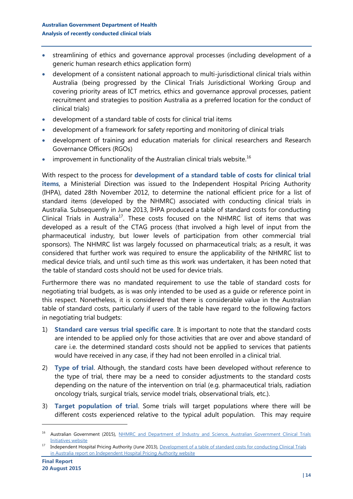- streamlining of ethics and governance approval processes (including development of a generic human research ethics application form)
- development of a consistent national approach to multi-jurisdictional clinical trials within Australia (being progressed by the Clinical Trials Jurisdictional Working Group and covering priority areas of ICT metrics, ethics and governance approval processes, patient recruitment and strategies to position Australia as a preferred location for the conduct of clinical trials)
- development of a standard table of costs for clinical trial items
- development of a framework for safety reporting and monitoring of clinical trials
- development of training and education materials for clinical researchers and Research Governance Officers (RGOs)
- improvement in functionality of the Australian clinical trials website.<sup>16</sup>

With respect to the process for **development of a standard table of costs for clinical trial items**, a Ministerial Direction was issued to the Independent Hospital Pricing Authority (IHPA), dated 28th November 2012, to determine the national efficient price for a list of standard items (developed by the NHMRC) associated with conducting clinical trials in Australia. Subsequently in June 2013, IHPA produced a table of standard costs for conducting Clinical Trials in Australia<sup>17</sup>. These costs focused on the NHMRC list of items that was developed as a result of the CTAG process (that involved a high level of input from the pharmaceutical industry, but lower levels of participation from other commercial trial sponsors). The NHMRC list was largely focussed on pharmaceutical trials; as a result, it was considered that further work was required to ensure the applicability of the NHMRC list to medical device trials, and until such time as this work was undertaken, it has been noted that the table of standard costs should not be used for device trials.

Furthermore there was no mandated requirement to use the table of standard costs for negotiating trial budgets, as is was only intended to be used as a guide or reference point in this respect. Nonetheless, it is considered that there is considerable value in the Australian table of standard costs, particularly if users of the table have regard to the following factors in negotiating trial budgets:

- 1) **Standard care versus trial specific care**. It is important to note that the standard costs are intended to be applied only for those activities that are over and above standard of care i.e. the determined standard costs should not be applied to services that patients would have received in any case, if they had not been enrolled in a clinical trial.
- 2) **Type of trial**. Although, the standard costs have been developed without reference to the type of trial, there may be a need to consider adjustments to the standard costs depending on the nature of the intervention on trial (e.g. pharmaceutical trials, radiation oncology trials, surgical trials, service model trials, observational trials, etc.).
- 3) **Target population of trial**. Some trials will target populations where there will be different costs experienced relative to the typical adult population. This may require

<sup>&</sup>lt;sup>16</sup> Australian Government (2015), NHMRC and Department of Industry and Science, Australian Government Clinical Trials [Initiatives website](https://www.australianclinicaltrials.gov.au/australian-government-clinical-trials-initiatives)

<sup>&</sup>lt;sup>17</sup> Independent Hospital Pricing Authority (June 2013), Development of a table of standard costs for conducting Clinical Trials [in Australia report on Independent Hospital Pricing Authority website](https://www.ihpa.gov.au/publications/development-table-standard-costs-conducting-clinical-trials-australia)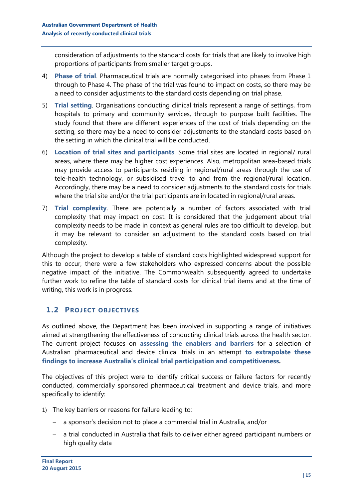consideration of adjustments to the standard costs for trials that are likely to involve high proportions of participants from smaller target groups.

- 4) **Phase of trial**. Pharmaceutical trials are normally categorised into phases from Phase 1 through to Phase 4. The phase of the trial was found to impact on costs, so there may be a need to consider adjustments to the standard costs depending on trial phase.
- 5) **Trial setting**. Organisations conducting clinical trials represent a range of settings, from hospitals to primary and community services, through to purpose built facilities. The study found that there are different experiences of the cost of trials depending on the setting, so there may be a need to consider adjustments to the standard costs based on the setting in which the clinical trial will be conducted.
- 6) **Location of trial sites and participants**. Some trial sites are located in regional/ rural areas, where there may be higher cost experiences. Also, metropolitan area-based trials may provide access to participants residing in regional/rural areas through the use of tele-health technology, or subsidised travel to and from the regional/rural location. Accordingly, there may be a need to consider adjustments to the standard costs for trials where the trial site and/or the trial participants are in located in regional/rural areas.
- 7) **Trial complexity**. There are potentially a number of factors associated with trial complexity that may impact on cost. It is considered that the judgement about trial complexity needs to be made in context as general rules are too difficult to develop, but it may be relevant to consider an adjustment to the standard costs based on trial complexity.

Although the project to develop a table of standard costs highlighted widespread support for this to occur, there were a few stakeholders who expressed concerns about the possible negative impact of the initiative. The Commonwealth subsequently agreed to undertake further work to refine the table of standard costs for clinical trial items and at the time of writing, this work is in progress.

## <span id="page-14-0"></span>**1.2 PROJECT OBJECTIVES**

As outlined above, the Department has been involved in supporting a range of initiatives aimed at strengthening the effectiveness of conducting clinical trials across the health sector. The current project focuses on **assessing the enablers and barriers** for a selection of Australian pharmaceutical and device clinical trials in an attempt **to extrapolate these findings to increase Australia's clinical trial participation and competitiveness.**

The objectives of this project were to identify critical success or failure factors for recently conducted, commercially sponsored pharmaceutical treatment and device trials, and more specifically to identify:

- 1) The key barriers or reasons for failure leading to:
	- a sponsor's decision not to place a commercial trial in Australia, and/or
	- a trial conducted in Australia that fails to deliver either agreed participant numbers or high quality data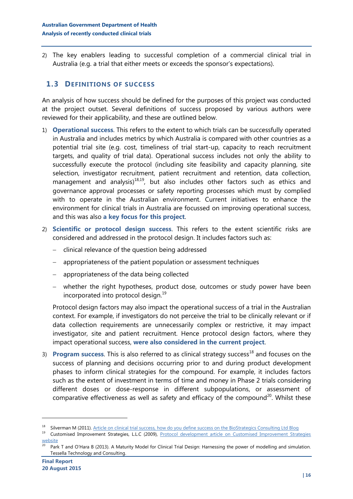2) The key enablers leading to successful completion of a commercial clinical trial in Australia (e.g. a trial that either meets or exceeds the sponsor's expectations).

## <span id="page-15-0"></span>**1.3 DEFINITIONS OF SUCCESS**

An analysis of how success should be defined for the purposes of this project was conducted at the project outset. Several definitions of success proposed by various authors were reviewed for their applicability, and these are outlined below.

- 1) **Operational success**. This refers to the extent to which trials can be successfully operated in Australia and includes metrics by which Australia is compared with other countries as a potential trial site (e.g. cost, timeliness of trial start-up, capacity to reach recruitment targets, and quality of trial data). Operational success includes not only the ability to successfully execute the protocol (including site feasibility and capacity planning, site selection, investigator recruitment, patient recruitment and retention, data collection, management and analysis) $18,19$ , but also includes other factors such as ethics and governance approval processes or safety reporting processes which must by complied with to operate in the Australian environment. Current initiatives to enhance the environment for clinical trials in Australia are focussed on improving operational success, and this was also **a key focus for this project**.
- <span id="page-15-2"></span><span id="page-15-1"></span>2) **Scientific or protocol design success**. This refers to the extent scientific risks are considered and addressed in the protocol design. It includes factors such as:
	- clinical relevance of the question being addressed
	- appropriateness of the patient population or assessment techniques
	- appropriateness of the data being collected
	- whether the right hypotheses, product dose, outcomes or study power have been incorporated into protocol design.<sup>[19](#page-15-1)</sup>

Protocol design factors may also impact the operational success of a trial in the Australian context. For example, if investigators do not perceive the trial to be clinically relevant or if data collection requirements are unnecessarily complex or restrictive, it may impact investigator, site and patient recruitment. Hence protocol design factors, where they impact operational success, **were also considered in the current project**.

3) **Program success**. This is also referred to as clinical strategy success<sup>[18](#page-15-2)</sup> and focuses on the success of planning and decisions occurring prior to and during product development phases to inform clinical strategies for the compound. For example, it includes factors such as the extent of investment in terms of time and money in Phase 2 trials considering different doses or dose-response in different subpopulations, or assessment of comparative effectiveness as well as safety and efficacy of the compound<sup>20</sup>. Whilst these

<sup>&</sup>lt;sup>18</sup> Silverman M (2011)[. Article on clinical trial success, how do you define success on the BioStrategics Consulting Ltd Blog](https://biostrategics.wordpress.com/2011/06/20/clinical-trial-success-how-do-you-define-success/)

<sup>&</sup>lt;sup>19</sup> Customised Improvement Strategies, L.L.C (2009), Protocol development article on Customised Improvement Strategies [website](http://www.rx-business.com/protocol-development.htm)

Park T and O'Hara B (2013). A Maturity Model for Clinical Trial Design: Harnessing the power of modelling and simulation. Tessella Technology and Consulting.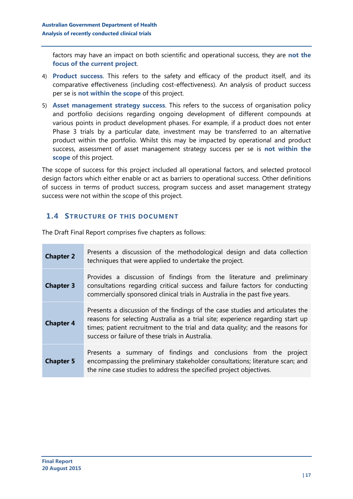factors may have an impact on both scientific and operational success, they are **not the focus of the current project**.

- 4) **Product success**. This refers to the safety and efficacy of the product itself, and its comparative effectiveness (including cost-effectiveness). An analysis of product success per se is **not within the scope** of this project.
- 5) **Asset management strategy success**. This refers to the success of organisation policy and portfolio decisions regarding ongoing development of different compounds at various points in product development phases. For example, if a product does not enter Phase 3 trials by a particular date, investment may be transferred to an alternative product within the portfolio. Whilst this may be impacted by operational and product success, assessment of asset management strategy success per se is **not within the scope** of this project.

The scope of success for this project included all operational factors, and selected protocol design factors which either enable or act as barriers to operational success. Other definitions of success in terms of product success, program success and asset management strategy success were not within the scope of this project.

## <span id="page-16-0"></span>**1.4 STRUCTURE OF THIS DOCUMENT**

The Draft Final Report comprises five chapters as follows:

| <b>Chapter 2</b> | Presents a discussion of the methodological design and data collection<br>techniques that were applied to undertake the project.                                                                                                                                                                     |  |  |  |
|------------------|------------------------------------------------------------------------------------------------------------------------------------------------------------------------------------------------------------------------------------------------------------------------------------------------------|--|--|--|
| <b>Chapter 3</b> | Provides a discussion of findings from the literature and preliminary<br>consultations regarding critical success and failure factors for conducting<br>commercially sponsored clinical trials in Australia in the past five years.                                                                  |  |  |  |
| <b>Chapter 4</b> | Presents a discussion of the findings of the case studies and articulates the<br>reasons for selecting Australia as a trial site; experience regarding start up<br>times; patient recruitment to the trial and data quality; and the reasons for<br>success or failure of these trials in Australia. |  |  |  |
| <b>Chapter 5</b> | Presents a summary of findings and conclusions from the project<br>encompassing the preliminary stakeholder consultations; literature scan; and<br>the nine case studies to address the specified project objectives.                                                                                |  |  |  |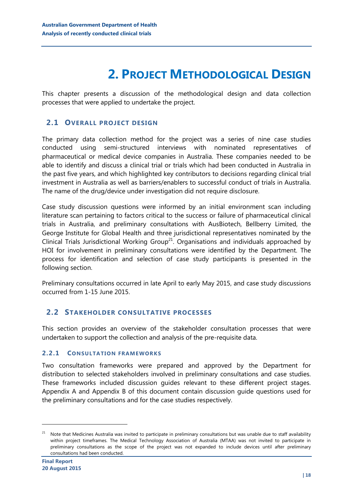## **2. PROJECT METHODOLOGICAL DESIGN**

<span id="page-17-0"></span>This chapter presents a discussion of the methodological design and data collection processes that were applied to undertake the project.

## <span id="page-17-1"></span>**2.1 OVERALL PROJECT DESIGN**

The primary data collection method for the project was a series of nine case studies conducted using semi-structured interviews with nominated representatives of pharmaceutical or medical device companies in Australia. These companies needed to be able to identify and discuss a clinical trial or trials which had been conducted in Australia in the past five years, and which highlighted key contributors to decisions regarding clinical trial investment in Australia as well as barriers/enablers to successful conduct of trials in Australia. The name of the drug/device under investigation did not require disclosure.

Case study discussion questions were informed by an initial environment scan including literature scan pertaining to factors critical to the success or failure of pharmaceutical clinical trials in Australia, and preliminary consultations with AusBiotech, Bellberry Limited, the George Institute for Global Health and three jurisdictional representatives nominated by the Clinical Trials Jurisdictional Working Group<sup>21</sup>. Organisations and individuals approached by HOI for involvement in preliminary consultations were identified by the Department. The process for identification and selection of case study participants is presented in the following section.

Preliminary consultations occurred in late April to early May 2015, and case study discussions occurred from 1-15 June 2015.

#### <span id="page-17-2"></span>**2.2 STAKEHOLDER CONSULTATIVE PROCESSES**

This section provides an overview of the stakeholder consultation processes that were undertaken to support the collection and analysis of the pre-requisite data.

#### **2.2.1 CONSULTATION FRAMEWORKS**

Two consultation frameworks were prepared and approved by the Department for distribution to selected stakeholders involved in preliminary consultations and case studies. These frameworks included discussion guides relevant to these different project stages. Appendix A and Appendix B of this document contain discussion guide questions used for the preliminary consultations and for the case studies respectively.

<sup>&</sup>lt;sup>21</sup> Note that Medicines Australia was invited to participate in preliminary consultations but was unable due to staff availability within project timeframes. The Medical Technology Association of Australia (MTAA) was not invited to participate in preliminary consultations as the scope of the project was not expanded to include devices until after preliminary consultations had been conducted.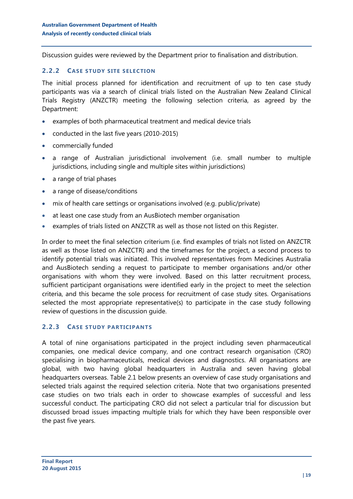Discussion guides were reviewed by the Department prior to finalisation and distribution.

#### **2.2.2 CASE STUDY SITE SELECTION**

The initial process planned for identification and recruitment of up to ten case study participants was via a search of clinical trials listed on the Australian New Zealand Clinical Trials Registry (ANZCTR) meeting the following selection criteria, as agreed by the Department:

- examples of both pharmaceutical treatment and medical device trials
- conducted in the last five years (2010-2015)
- commercially funded
- a range of Australian jurisdictional involvement (i.e. small number to multiple jurisdictions, including single and multiple sites within jurisdictions)
- a range of trial phases
- a range of disease/conditions
- mix of health care settings or organisations involved (e.g. public/private)
- at least one case study from an AusBiotech member organisation
- examples of trials listed on ANZCTR as well as those not listed on this Register.

In order to meet the final selection criterium (i.e. find examples of trials not listed on ANZCTR as well as those listed on ANZCTR) and the timeframes for the project, a second process to identify potential trials was initiated. This involved representatives from Medicines Australia and AusBiotech sending a request to participate to member organisations and/or other organisations with whom they were involved. Based on this latter recruitment process, sufficient participant organisations were identified early in the project to meet the selection criteria, and this became the sole process for recruitment of case study sites. Organisations selected the most appropriate representative(s) to participate in the case study following review of questions in the discussion guide.

#### **2.2.3 CASE STUDY PARTICIPANTS**

A total of nine organisations participated in the project including seven pharmaceutical companies, one medical device company, and one contract research organisation (CRO) specialising in biopharmaceuticals, medical devices and diagnostics. All organisations are global, with two having global headquarters in Australia and seven having global headquarters overseas. [Table 2.1](#page-19-0) below presents an overview of case study organisations and selected trials against the required selection criteria. Note that two organisations presented case studies on two trials each in order to showcase examples of successful and less successful conduct. The participating CRO did not select a particular trial for discussion but discussed broad issues impacting multiple trials for which they have been responsible over the past five years.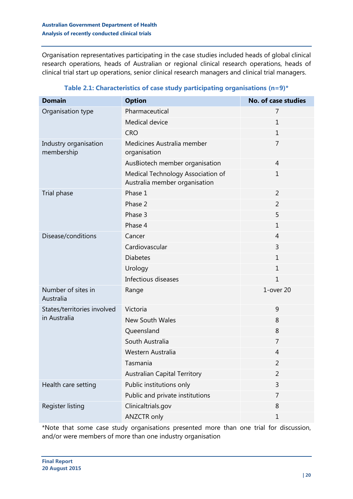Organisation representatives participating in the case studies included heads of global clinical research operations, heads of Australian or regional clinical research operations, heads of clinical trial start up operations, senior clinical research managers and clinical trial managers.

<span id="page-19-0"></span>

| <b>Domain</b>                       | <b>Option</b>                                                      | <b>No. of case studies</b> |
|-------------------------------------|--------------------------------------------------------------------|----------------------------|
| Organisation type                   | Pharmaceutical                                                     | 7                          |
|                                     | Medical device                                                     | $\mathbf 1$                |
|                                     | <b>CRO</b>                                                         | $\mathbf{1}$               |
| Industry organisation<br>membership | Medicines Australia member<br>organisation                         | 7                          |
|                                     | AusBiotech member organisation                                     | 4                          |
|                                     | Medical Technology Association of<br>Australia member organisation | $\mathbf 1$                |
| Trial phase                         | Phase 1                                                            | $\overline{2}$             |
|                                     | Phase 2                                                            | 2                          |
|                                     | Phase 3                                                            | 5                          |
|                                     | Phase 4                                                            | $\mathbf 1$                |
| Disease/conditions                  | Cancer                                                             | 4                          |
|                                     | Cardiovascular                                                     | 3                          |
|                                     | <b>Diabetes</b>                                                    | $\mathbf{1}$               |
|                                     | Urology                                                            | $\mathbf{1}$               |
|                                     | Infectious diseases                                                | $\mathbf{1}$               |
| Number of sites in<br>Australia     | Range                                                              | 1-over 20                  |
| States/territories involved         | Victoria                                                           | 9                          |
| in Australia                        | <b>New South Wales</b>                                             | 8                          |
|                                     | Queensland                                                         | 8                          |
|                                     | South Australia                                                    | 7                          |
|                                     | Western Australia                                                  | 4                          |
|                                     | Tasmania                                                           | ۷                          |
|                                     | <b>Australian Capital Territory</b>                                | $\overline{2}$             |
| Health care setting                 | Public institutions only                                           | 3                          |
|                                     | Public and private institutions                                    | 7                          |
| Register listing                    | Clinicaltrials.gov                                                 | 8                          |
|                                     | ANZCTR only                                                        | 1                          |

## **Table 2.1: Characteristics of case study participating organisations (n=9)\***

\*Note that some case study organisations presented more than one trial for discussion, and/or were members of more than one industry organisation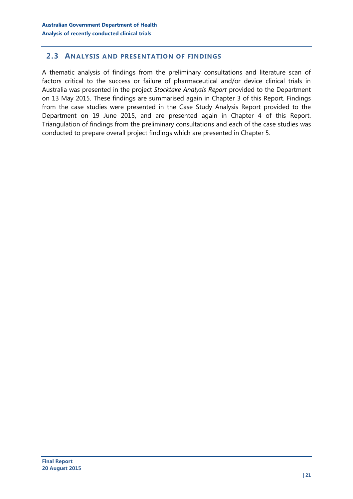## <span id="page-20-0"></span>**2.3 ANALYSIS AND PRESENTATION OF FINDINGS**

A thematic analysis of findings from the preliminary consultations and literature scan of factors critical to the success or failure of pharmaceutical and/or device clinical trials in Australia was presented in the project *Stocktake Analysis Report* provided to the Department on 13 May 2015. These findings are summarised again in Chapter [3](#page-21-0) of this Report. Findings from the case studies were presented in the Case Study Analysis Report provided to the Department on 19 June 2015, and are presented again in Chapter [4](#page-27-0) of this Report. Triangulation of findings from the preliminary consultations and each of the case studies was conducted to prepare overall project findings which are presented in Chapter [5.](#page-52-0)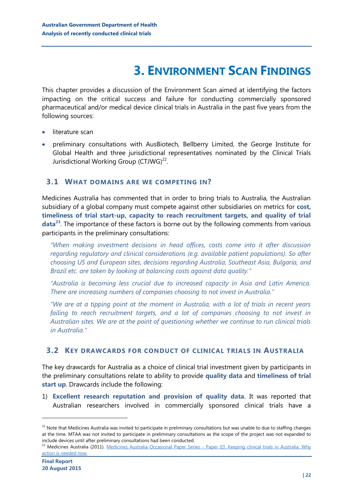## **3. ENVIRONMENT SCAN FINDINGS**

<span id="page-21-0"></span>This chapter provides a discussion of the Environment Scan aimed at identifying the factors impacting on the critical success and failure for conducting commercially sponsored pharmaceutical and/or medical device clinical trials in Australia in the past five years from the following sources:

- literature scan
- preliminary consultations with AusBiotech, Bellberry Limited, the George Institute for Global Health and three jurisdictional representatives nominated by the Clinical Trials Jurisdictional Working Group (CTJWG)<sup>22</sup>.

## <span id="page-21-1"></span>**3.1 WHAT DOMAINS ARE WE COMPETING IN?**

Medicines Australia has commented that in order to bring trials to Australia, the Australian subsidiary of a global company must compete against other subsidiaries on metrics for **cost, timeliness of trial start-up, capacity to reach recruitment targets, and quality of trial data<sup>23</sup>** . The importance of these factors is borne out by the following comments from various participants in the preliminary consultations:

*"When making investment decisions in head offices, costs come into it after discussion regarding regulatory and clinical considerations (e.g. available patient populations). So after choosing US and European sites, decisions regarding Australia, Southeast Asia, Bulgaria, and Brazil etc. are taken by looking at balancing costs against data quality."*

*"Australia is becoming less crucial due to increased capacity in Asia and Latin America. There are increasing numbers of companies choosing to not invest in Australia."*

*"We are at a tipping point at the moment in Australia, with a lot of trials in recent years*  failing to reach recruitment targets, and a lot of companies choosing to not invest in *Australian sites. We are at the point of questioning whether we continue to run clinical trials in Australia."*

## <span id="page-21-2"></span>**3.2 KEY DRAWCARDS FOR CONDUCT OF CLINICAL TRIALS IN AUSTRALIA**

The key drawcards for Australia as a choice of clinical trial investment given by participants in the preliminary consultations relate to ability to provide **quality data** and **timeliness of trial start up**. Drawcards include the following:

1) **Excellent research reputation and provision of quality data**. It was reported that Australian researchers involved in commercially sponsored clinical trials have a

<sup>&</sup>lt;sup>22</sup> Note that Medicines Australia was invited to participate in preliminary consultations but was unable to due to staffing changes at the time. MTAA was not invited to participate in preliminary consultations as the scope of the project was not expanded to include devices until after preliminary consultations had been conducted.

<sup>&</sup>lt;sup>23</sup> Medicines Australia (2011). Medicines Australia Occasional Paper Series - Paper 03. Keeping clinical trials in Australia: Why [action is needed now.](http://medicinesaustralia.com.au/issues-information/publications/occasional-papers)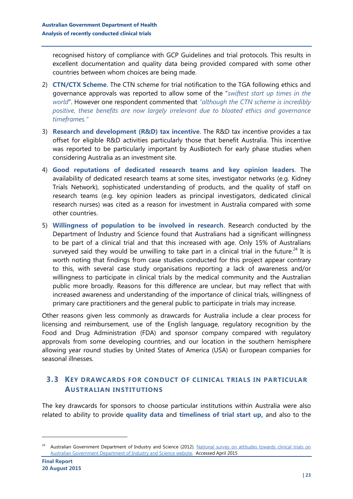recognised history of compliance with GCP Guidelines and trial protocols. This results in excellent documentation and quality data being provided compared with some other countries between whom choices are being made.

- 2) **CTN/CTX Scheme**. The CTN scheme for trial notification to the TGA following ethics and governance approvals was reported to allow some of the "*swiftest start up times in the world*". However one respondent commented that *"although the CTN scheme is incredibly positive, these benefits are now largely irrelevant due to bloated ethics and governance timeframes."*
- 3) **Research and development (R&D) tax incentive**. The R&D tax incentive provides a tax offset for eligible R&D activities particularly those that benefit Australia. This incentive was reported to be particularly important by AusBiotech for early phase studies when considering Australia as an investment site.
- 4) **Good reputations of dedicated research teams and key opinion leaders**. The availability of dedicated research teams at some sites, investigator networks (e.g. Kidney Trials Network), sophisticated understanding of products, and the quality of staff on research teams (e.g. key opinion leaders as principal investigators, dedicated clinical research nurses) was cited as a reason for investment in Australia compared with some other countries.
- 5) **Willingness of population to be involved in research**. Research conducted by the Department of Industry and Science found that Australians had a significant willingness to be part of a clinical trial and that this increased with age. Only 15% of Australians surveyed said they would be unwilling to take part in a clinical trial in the future.<sup>24</sup> It is worth noting that findings from case studies conducted for this project appear contrary to this, with several case study organisations reporting a lack of awareness and/or willingness to participate in clinical trials by the medical community and the Australian public more broadly. Reasons for this difference are unclear, but may reflect that with increased awareness and understanding of the importance of clinical trials, willingness of primary care practitioners and the general public to participate in trials may increase.

Other reasons given less commonly as drawcards for Australia include a clear process for licensing and reimbursement, use of the English language, regulatory recognition by the Food and Drug Administration (FDA) and sponsor company compared with regulatory approvals from some developing countries, and our location in the southern hemisphere allowing year round studies by United States of America (USA) or European companies for seasonal illnesses.

## <span id="page-22-0"></span>**3.3 KEY DRAWCARDS FOR CONDUCT OF CLINICAL TRIALS IN PARTICULAR AUSTRALIAN INSTITUTIONS**

The key drawcards for sponsors to choose particular institutions within Australia were also related to ability to provide **quality data** and **timeliness of trial start up,** and also to the

<sup>&</sup>lt;sup>24</sup> Australian Government Department of Industry and Science (2012). National survey on attitudes towards clinical trials on [Australian Government Department of Industry and Science website.](http://www.industry.gov.au/industry/IndustrySectors/PharmaceuticalsandHealthTechnologies/National-Survey-and-Literature-Review/Pages/default.aspx) Accessed April 2015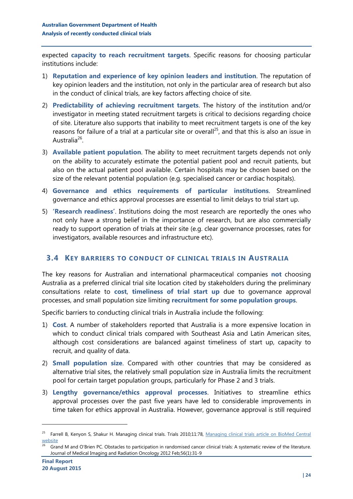expected **capacity to reach recruitment targets**. Specific reasons for choosing particular institutions include:

- 1) **Reputation and experience of key opinion leaders and institution**. The reputation of key opinion leaders and the institution, not only in the particular area of research but also in the conduct of clinical trials, are key factors affecting choice of site.
- 2) **Predictability of achieving recruitment targets**. The history of the institution and/or investigator in meeting stated recruitment targets is critical to decisions regarding choice of site. Literature also supports that inability to meet recruitment targets is one of the key reasons for failure of a trial at a particular site or overall<sup>25</sup>, and that this is also an issue in Australia<sup>26</sup>.
- 3) **Available patient population**. The ability to meet recruitment targets depends not only on the ability to accurately estimate the potential patient pool and recruit patients, but also on the actual patient pool available. Certain hospitals may be chosen based on the size of the relevant potential population (e.g. specialised cancer or cardiac hospitals).
- 4) **Governance and ethics requirements of particular institutions**. Streamlined governance and ethics approval processes are essential to limit delays to trial start up.
- 5) **'Research readiness'**. Institutions doing the most research are reportedly the ones who not only have a strong belief in the importance of research, but are also commercially ready to support operation of trials at their site (e.g. clear governance processes, rates for investigators, available resources and infrastructure etc).

## <span id="page-23-0"></span>**3.4 KEY BARRIERS TO CONDUCT OF CLINICAL TRIALS IN AUSTRALIA**

The key reasons for Australian and international pharmaceutical companies **not** choosing Australia as a preferred clinical trial site location cited by stakeholders during the preliminary consultations relate to **cost**, **timeliness of trial start up** due to governance approval processes, and small population size limiting **recruitment for some population groups**.

Specific barriers to conducting clinical trials in Australia include the following:

- 1) **Cost**. A number of stakeholders reported that Australia is a more expensive location in which to conduct clinical trials compared with Southeast Asia and Latin American sites, although cost considerations are balanced against timeliness of start up, capacity to recruit, and quality of data.
- 2) **Small population size**. Compared with other countries that may be considered as alternative trial sites, the relatively small population size in Australia limits the recruitment pool for certain target population groups, particularly for Phase 2 and 3 trials.
- 3) **Lengthy governance/ethics approval processes**. Initiatives to streamline ethics approval processes over the past five years have led to considerable improvements in time taken for ethics approval in Australia. However, governance approval is still required

<sup>&</sup>lt;sup>25</sup> Farrell B, Kenyon S, Shakur H. Managing clinical trials. Trials 2010;11:78, Managing clinical trials article on BioMed Central [website](http://www.trialsjournal.com/content/11/1/78)

<sup>26</sup> Grand M and O'Brien PC. Obstacles to participation in randomised cancer clinical trials: A systematic review of the literature. Journal of Medical Imaging and Radiation Oncology 2012 Feb;56(1):31-9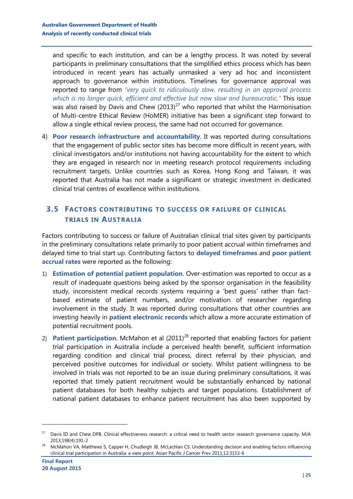and specific to each institution, and can be a lengthy process. It was noted by several participants in preliminary consultations that the simplified ethics process which has been introduced in recent years has actually unmasked a very ad hoc and inconsistent approach to governance within institutions. Timelines for governance approval was reported to range from *"very quick to ridiculously slow, resulting in an approval process which is no longer quick, efficient and effective but now slow and bureaucratic."* This issue was also raised by Davis and Chew  $(2013)^{27}$  who reported that whilst the Harmonisation of Multi-centre Ethical Review (HoMER) initiative has been a significant step forward to allow a single ethical review process, the same had not occurred for governance.

4) **Poor research infrastructure and accountability**. It was reported during consultations that the engagement of public sector sites has become more difficult in recent years, with clinical investigators and/or institutions not having accountability for the extent to which they are engaged in research nor in meeting research protocol requirements including recruitment targets. Unlike countries such as Korea, Hong Kong and Taiwan, it was reported that Australia has not made a significant or strategic investment in dedicated clinical trial centres of excellence within institutions.

## <span id="page-24-0"></span>**3.5 FACTORS CONTRIBUTING TO SUCCESS OR FAILURE OF CLINICAL TRIALS IN AUSTRALIA**

Factors contributing to success or failure of Australian clinical trial sites given by participants in the preliminary consultations relate primarily to poor patient accrual within timeframes and delayed time to trial start up. Contributing factors to **delayed timeframes** and **poor patient accrual rates** were reported as the following:

- 1) **Estimation of potential patient population**. Over-estimation was reported to occur as a result of inadequate questions being asked by the sponsor organisation in the feasibility study, inconsistent medical records systems requiring a 'best guess' rather than factbased estimate of patient numbers, and/or motivation of researcher regarding involvement in the study. It was reported during consultations that other countries are investing heavily in **patient electronic records** which allow a more accurate estimation of potential recruitment pools.
- 2) **Patient participation**. McMahon et al (2011)<sup>28</sup> reported that enabling factors for patient trial participation in Australia include a perceived health benefit, sufficient information regarding condition and clinical trial process, direct referral by their physician, and perceived positive outcomes for individual or society. Whilst patient willingness to be involved in trials was not reported to be an issue during preliminary consultations, it was reported that timely patient recruitment would be substantially enhanced by national patient databases for both healthy subjects and target populations. Establishment of national patient databases to enhance patient recruitment has also been supported by

<sup>&</sup>lt;sup>27</sup> Davis ID and Chew DPB. Clinical effectiveness research: a critical need to health sector research governance capacity. MJA 2013;198(4):191-2

<sup>28</sup> McMahon VA, Matthews S, Capper H, Chudleigh JB, McLachlan CS. Understanding decision and enabling factors influencing clinical trial participation in Australia: a view point. Asian Pacific J Cancer Prev 2011;12:3153-6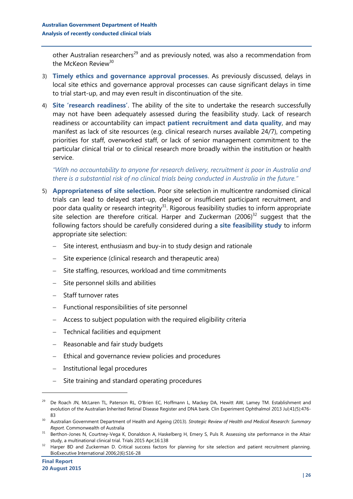other Australian researchers<sup>29</sup> and as previously noted, was also a recommendation from the McKeon Review<sup>30</sup>

- 3) **Timely ethics and governance approval processes**. As previously discussed, delays in local site ethics and governance approval processes can cause significant delays in time to trial start-up, and may even result in discontinuation of the site.
- 4) **Site 'research readiness'**. The ability of the site to undertake the research successfully may not have been adequately assessed during the feasibility study. Lack of research readiness or accountability can impact **patient recruitment and data quality**, and may manifest as lack of site resources (e.g. clinical research nurses available 24/7), competing priorities for staff, overworked staff, or lack of senior management commitment to the particular clinical trial or to clinical research more broadly within the institution or health service.

### *"With no accountability to anyone for research delivery, recruitment is poor in Australia and there is a substantial risk of no clinical trials being conducted in Australia in the future."*

- 5) **Appropriateness of site selection.** Poor site selection in multicentre randomised clinical trials can lead to delayed start-up, delayed or insufficient participant recruitment, and poor data quality or research integrity $31$ . Rigorous feasibility studies to inform appropriate site selection are therefore critical. Harper and Zuckerman  $(2006)^{32}$  suggest that the following factors should be carefully considered during a **site feasibility study** to inform appropriate site selection:
	- Site interest, enthusiasm and buy-in to study design and rationale
	- Site experience (clinical research and therapeutic area)
	- Site staffing, resources, workload and time commitments
	- $-$  Site personnel skills and abilities
	- Staff turnover rates
	- Functional responsibilities of site personnel
	- Access to subject population with the required eligibility criteria
	- $-$  Technical facilities and equipment
	- Reasonable and fair study budgets
	- Ethical and governance review policies and procedures
	- Institutional legal procedures
	- Site training and standard operating procedures

<sup>&</sup>lt;sup>29</sup> De Roach JN, McLaren TL, Paterson RL, O'Brien EC, Hoffmann L, Mackey DA, Hewitt AW, Lamey TM. Establishment and evolution of the Australian Inherited Retinal Disease Register and DNA bank. Clin Experiment Ophthalmol 2013 Jul;41(5):476- 83

<sup>30</sup> Australian Government Department of Health and Ageing (2013). *Strategic Review of Health and Medical Research: Summary Report*. Commonwealth of Australia

<sup>&</sup>lt;sup>31</sup> Berthon-Jones N, Courtney-Vega K, Donaldson A, Haskelberg H, Emery S, Puls R. Assessing site performance in the Altair study, a multinational clinical trial. Trials 2015 Apr;16:138

<sup>&</sup>lt;sup>32</sup> Harper BD and Zuckerman D. Critical success factors for planning for site selection and patient recruitment planning. BioExecutive International 2006;2(6):S16-28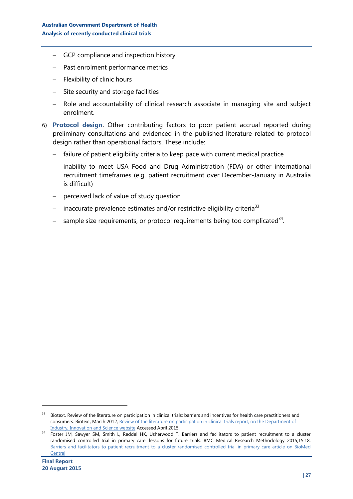- GCP compliance and inspection history
- Past enrolment performance metrics
- $-$  Flexibility of clinic hours
- Site security and storage facilities
- Role and accountability of clinical research associate in managing site and subject enrolment.
- 6) **Protocol design**. Other contributing factors to poor patient accrual reported during preliminary consultations and evidenced in the published literature related to protocol design rather than operational factors. These include:
	- failure of patient eligibility criteria to keep pace with current medical practice
	- inability to meet USA Food and Drug Administration (FDA) or other international recruitment timeframes (e.g. patient recruitment over December-January in Australia is difficult)
	- perceived lack of value of study question
	- inaccurate prevalence estimates and/or restrictive eligibility criteria<sup>33</sup>
	- $-$  sample size requirements, or protocol requirements being too complicated<sup>34</sup>.

<sup>&</sup>lt;sup>33</sup> Biotext. Review of the literature on participation in clinical trials: barriers and incentives for health care practitioners and consumers. Biotext, March 2012[, Review of the literature on participation in clinical trials report, on the Department of](http://www.industry.gov.au/industry/IndustrySectors/PharmaceuticalsandHealthTechnologies/National-Survey-and-Literature-Review/Pages/default.aspx)  [Industry, Innovation and Science website](http://www.industry.gov.au/industry/IndustrySectors/PharmaceuticalsandHealthTechnologies/National-Survey-and-Literature-Review/Pages/default.aspx) Accessed April 2015

<sup>&</sup>lt;sup>34</sup> Foster JM, Sawyer SM, Smith L, Reddel HK, Usherwood T. Barriers and facilitators to patient recruitment to a cluster randomised controlled trial in primary care: lessons for future trials. BMC Medical Research Methodology 2015;15:18, [Barriers and facilitators to patient recruitment to a cluster randomised controlled trial in primary care article on BioMed](http://www.biomedcentral.com/1471-2288/15/18)  **[Central](http://www.biomedcentral.com/1471-2288/15/18)**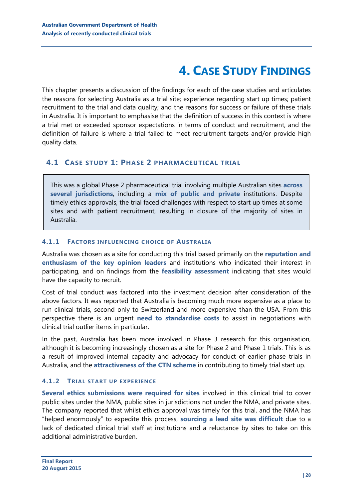## **4. CASE STUDY FINDINGS**

<span id="page-27-0"></span>This chapter presents a discussion of the findings for each of the case studies and articulates the reasons for selecting Australia as a trial site; experience regarding start up times; patient recruitment to the trial and data quality; and the reasons for success or failure of these trials in Australia. It is important to emphasise that the definition of success in this context is where a trial met or exceeded sponsor expectations in terms of conduct and recruitment, and the definition of failure is where a trial failed to meet recruitment targets and/or provide high quality data.

## <span id="page-27-1"></span>**4.1 CASE STUDY 1: PHASE 2 PHARMACEUTICAL TRIAL**

This was a global Phase 2 pharmaceutical trial involving multiple Australian sites **across several jurisdictions**, including a **mix of public and private** institutions. Despite timely ethics approvals, the trial faced challenges with respect to start up times at some sites and with patient recruitment, resulting in closure of the majority of sites in Australia.

### **4.1.1 FACTORS INFLUENCING CHOICE OF AUSTRALIA**

Australia was chosen as a site for conducting this trial based primarily on the **reputation and enthusiasm of the key opinion leaders** and institutions who indicated their interest in participating, and on findings from the **feasibility assessment** indicating that sites would have the capacity to recruit.

Cost of trial conduct was factored into the investment decision after consideration of the above factors. It was reported that Australia is becoming much more expensive as a place to run clinical trials, second only to Switzerland and more expensive than the USA. From this perspective there is an urgent **need to standardise costs** to assist in negotiations with clinical trial outlier items in particular.

In the past, Australia has been more involved in Phase 3 research for this organisation, although it is becoming increasingly chosen as a site for Phase 2 and Phase 1 trials. This is as a result of improved internal capacity and advocacy for conduct of earlier phase trials in Australia, and the **attractiveness of the CTN scheme** in contributing to timely trial start up.

## **4.1.2 TRIAL START UP EXPERIENCE**

**Several ethics submissions were required for sites** involved in this clinical trial to cover public sites under the NMA, public sites in jurisdictions not under the NMA, and private sites. The company reported that whilst ethics approval was timely for this trial, and the NMA has "helped enormously" to expedite this process, **sourcing a lead site was difficult** due to a lack of dedicated clinical trial staff at institutions and a reluctance by sites to take on this additional administrative burden.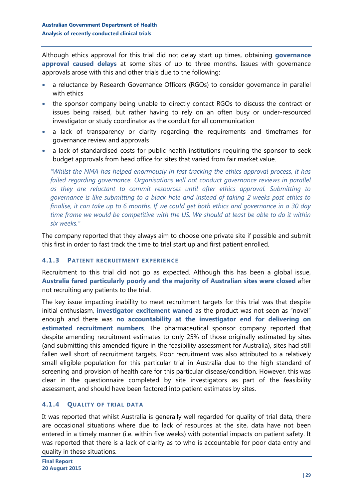Although ethics approval for this trial did not delay start up times, obtaining **governance approval caused delays** at some sites of up to three months. Issues with governance approvals arose with this and other trials due to the following:

- a reluctance by Research Governance Officers (RGOs) to consider governance in parallel with ethics
- the sponsor company being unable to directly contact RGOs to discuss the contract or issues being raised, but rather having to rely on an often busy or under-resourced investigator or study coordinator as the conduit for all communication
- a lack of transparency or clarity regarding the requirements and timeframes for governance review and approvals
- a lack of standardised costs for public health institutions requiring the sponsor to seek budget approvals from head office for sites that varied from fair market value.

*"Whilst the NMA has helped enormously in fast tracking the ethics approval process, it has failed regarding governance. Organisations will not conduct governance reviews in parallel as they are reluctant to commit resources until after ethics approval. Submitting to governance is like submitting to a black hole and instead of taking 2 weeks post ethics to finalise, it can take up to 6 months. If we could get both ethics and governance in a 30 day time frame we would be competitive with the US. We should at least be able to do it within six weeks."*

The company reported that they always aim to choose one private site if possible and submit this first in order to fast track the time to trial start up and first patient enrolled.

#### **4.1.3 PATIENT RECRUITMENT EXPERIENCE**

Recruitment to this trial did not go as expected. Although this has been a global issue, **Australia fared particularly poorly and the majority of Australian sites were closed** after not recruiting any patients to the trial.

The key issue impacting inability to meet recruitment targets for this trial was that despite initial enthusiasm, **investigator excitement waned** as the product was not seen as "novel" enough and there was **no accountability at the investigator end for delivering on estimated recruitment numbers**. The pharmaceutical sponsor company reported that despite amending recruitment estimates to only 25% of those originally estimated by sites (and submitting this amended figure in the feasibility assessment for Australia), sites had still fallen well short of recruitment targets. Poor recruitment was also attributed to a relatively small eligible population for this particular trial in Australia due to the high standard of screening and provision of health care for this particular disease/condition. However, this was clear in the questionnaire completed by site investigators as part of the feasibility assessment, and should have been factored into patient estimates by sites.

#### **4.1.4 QUALITY OF TRIAL DATA**

It was reported that whilst Australia is generally well regarded for quality of trial data, there are occasional situations where due to lack of resources at the site, data have not been entered in a timely manner (i.e. within five weeks) with potential impacts on patient safety. It was reported that there is a lack of clarity as to who is accountable for poor data entry and quality in these situations.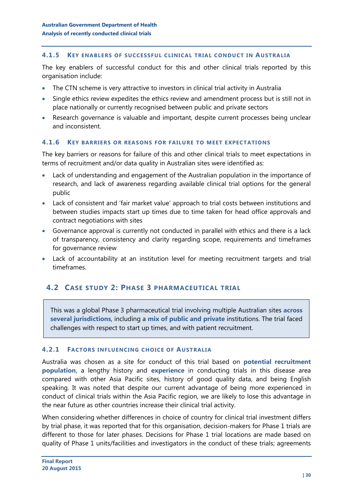#### **4.1.5 KEY ENABLERS OF SUCCESSFUL CLINICAL TRIAL CONDUCT IN AUSTRALIA**

The key enablers of successful conduct for this and other clinical trials reported by this organisation include:

- The CTN scheme is very attractive to investors in clinical trial activity in Australia
- Single ethics review expedites the ethics review and amendment process but is still not in place nationally or currently recognised between public and private sectors
- Research governance is valuable and important, despite current processes being unclear and inconsistent.

#### **4.1.6 KEY BARRIERS OR REASONS FOR FAILURE TO MEET EXPECTATIONS**

The key barriers or reasons for failure of this and other clinical trials to meet expectations in terms of recruitment and/or data quality in Australian sites were identified as:

- Lack of understanding and engagement of the Australian population in the importance of research, and lack of awareness regarding available clinical trial options for the general public
- Lack of consistent and 'fair market value' approach to trial costs between institutions and between studies impacts start up times due to time taken for head office approvals and contract negotiations with sites
- Governance approval is currently not conducted in parallel with ethics and there is a lack of transparency, consistency and clarity regarding scope, requirements and timeframes for governance review
- Lack of accountability at an institution level for meeting recruitment targets and trial timeframes.

## <span id="page-29-0"></span>**4.2 CASE STUDY 2: PHASE 3 PHARMACEUTICAL TRIAL**

This was a global Phase 3 pharmaceutical trial involving multiple Australian sites **across several jurisdictions**, including a **mix of public and private** institutions. The trial faced challenges with respect to start up times, and with patient recruitment.

#### **4.2.1 FACTORS INFLUENCING CHOICE OF AUSTRALIA**

Australia was chosen as a site for conduct of this trial based on **potential recruitment population**, a lengthy history and **experience** in conducting trials in this disease area compared with other Asia Pacific sites, history of good quality data, and being English speaking. It was noted that despite our current advantage of being more experienced in conduct of clinical trials within the Asia Pacific region, we are likely to lose this advantage in the near future as other countries increase their clinical trial activity.

When considering whether differences in choice of country for clinical trial investment differs by trial phase, it was reported that for this organisation, decision-makers for Phase 1 trials are different to those for later phases. Decisions for Phase 1 trial locations are made based on quality of Phase 1 units/facilities and investigators in the conduct of these trials; agreements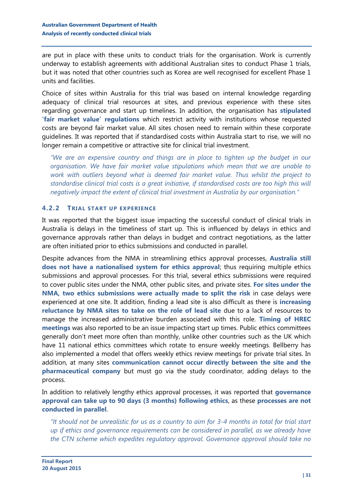are put in place with these units to conduct trials for the organisation. Work is currently underway to establish agreements with additional Australian sites to conduct Phase 1 trials, but it was noted that other countries such as Korea are well recognised for excellent Phase 1 units and facilities.

Choice of sites within Australia for this trial was based on internal knowledge regarding adequacy of clinical trial resources at sites, and previous experience with these sites regarding governance and start up timelines. In addition, the organisation has **stipulated 'fair market value' regulations** which restrict activity with institutions whose requested costs are beyond fair market value. All sites chosen need to remain within these corporate guidelines. It was reported that if standardised costs within Australia start to rise, we will no longer remain a competitive or attractive site for clinical trial investment.

*"We are an expensive country and things are in place to tighten up the budget in our organisation. We have fair market value stipulations which mean that we are unable to work with outliers beyond what is deemed fair market value. Thus whilst the project to standardise clinical trial costs is a great initiative, if standardised costs are too high this will negatively impact the extent of clinical trial investment in Australia by our organisation."*

#### **4.2.2 TRIAL START UP EXPERIENCE**

It was reported that the biggest issue impacting the successful conduct of clinical trials in Australia is delays in the timeliness of start up. This is influenced by delays in ethics and governance approvals rather than delays in budget and contract negotiations, as the latter are often initiated prior to ethics submissions and conducted in parallel.

Despite advances from the NMA in streamlining ethics approval processes, **Australia still does not have a nationalised system for ethics approval**; thus requiring multiple ethics submissions and approval processes. For this trial, several ethics submissions were required to cover public sites under the NMA, other public sites, and private sites. **For sites under the NMA, two ethics submissions were actually made to split the risk** in case delays were experienced at one site. It addition, finding a lead site is also difficult as there is **increasing reluctance by NMA sites to take on the role of lead site** due to a lack of resources to manage the increased administrative burden associated with this role. **Timing of HREC meetings** was also reported to be an issue impacting start up times. Public ethics committees generally don't meet more often than monthly, unlike other countries such as the UK which have 11 national ethics committees which rotate to ensure weekly meetings. Bellberry has also implemented a model that offers weekly ethics review meetings for private trial sites. In addition, at many sites **communication cannot occur directly between the site and the pharmaceutical company** but must go via the study coordinator, adding delays to the process.

In addition to relatively lengthy ethics approval processes, it was reported that **governance approval can take up to 90 days (3 months) following ethics**, as these **processes are not conducted in parallel**.

*"It should not be unrealistic for us as a country to aim for 3-4 months in total for trial start up if ethics and governance requirements can be considered in parallel, as we already have the CTN scheme which expedites regulatory approval. Governance approval should take no*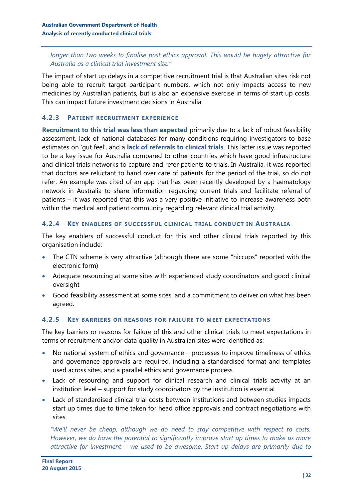*longer than two weeks to finalise post ethics approval. This would be hugely attractive for Australia as a clinical trial investment site."*

The impact of start up delays in a competitive recruitment trial is that Australian sites risk not being able to recruit target participant numbers, which not only impacts access to new medicines by Australian patients, but is also an expensive exercise in terms of start up costs. This can impact future investment decisions in Australia.

## **4.2.3 PATIENT RECRUITMENT EXPERIENCE**

**Recruitment to this trial was less than expected** primarily due to a lack of robust feasibility assessment, lack of national databases for many conditions requiring investigators to base estimates on 'gut feel', and a **lack of referrals to clinical trials**. This latter issue was reported to be a key issue for Australia compared to other countries which have good infrastructure and clinical trials networks to capture and refer patients to trials. In Australia, it was reported that doctors are reluctant to hand over care of patients for the period of the trial, so do not refer. An example was cited of an app that has been recently developed by a haematology network in Australia to share information regarding current trials and facilitate referral of patients – it was reported that this was a very positive initiative to increase awareness both within the medical and patient community regarding relevant clinical trial activity.

### **4.2.4 KEY ENABLERS OF SUCCESSFUL CLINICAL TRIAL CONDUCT IN AUSTRALIA**

The key enablers of successful conduct for this and other clinical trials reported by this organisation include:

- The CTN scheme is very attractive (although there are some "hiccups" reported with the electronic form)
- Adequate resourcing at some sites with experienced study coordinators and good clinical oversight
- Good feasibility assessment at some sites, and a commitment to deliver on what has been agreed.

## **4.2.5 KEY BARRIERS OR REASONS FOR FAILURE TO MEET EXPECTATIONS**

The key barriers or reasons for failure of this and other clinical trials to meet expectations in terms of recruitment and/or data quality in Australian sites were identified as:

- No national system of ethics and governance processes to improve timeliness of ethics and governance approvals are required, including a standardised format and templates used across sites, and a parallel ethics and governance process
- Lack of resourcing and support for clinical research and clinical trials activity at an institution level – support for study coordinators by the institution is essential
- Lack of standardised clinical trial costs between institutions and between studies impacts start up times due to time taken for head office approvals and contract negotiations with sites.

*"We'll never be cheap, although we do need to stay competitive with respect to costs. However, we do have the potential to significantly improve start up times to make us more attractive for investment – we used to be awesome. Start up delays are primarily due to*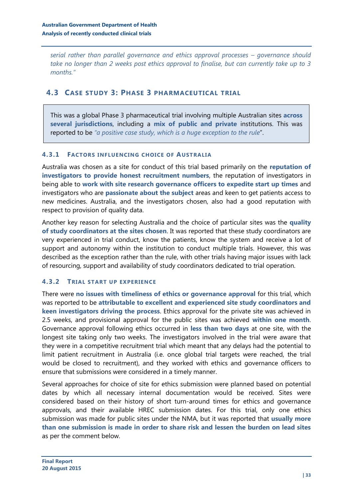*serial rather than parallel governance and ethics approval processes – governance should take no longer than 2 weeks post ethics approval to finalise, but can currently take up to 3 months."*

## <span id="page-32-0"></span>**4.3 CASE STUDY 3: PHASE 3 PHARMACEUTICAL TRIAL**

This was a global Phase 3 pharmaceutical trial involving multiple Australian sites **across several jurisdictions**, including a **mix of public and private** institutions. This was reported to be *"a positive case study, which is a huge exception to the rule*".

### **4.3.1 FACTORS INFLUENCING CHOICE OF AUSTRALIA**

Australia was chosen as a site for conduct of this trial based primarily on the **reputation of investigators to provide honest recruitment numbers**, the reputation of investigators in being able to **work with site research governance officers to expedite start up times** and investigators who are **passionate about the subject** areas and keen to get patients access to new medicines. Australia, and the investigators chosen, also had a good reputation with respect to provision of quality data.

Another key reason for selecting Australia and the choice of particular sites was the **quality of study coordinators at the sites chosen**. It was reported that these study coordinators are very experienced in trial conduct, know the patients, know the system and receive a lot of support and autonomy within the institution to conduct multiple trials. However, this was described as the exception rather than the rule, with other trials having major issues with lack of resourcing, support and availability of study coordinators dedicated to trial operation.

## **4.3.2 TRIAL START UP EXPERIENCE**

There were **no issues with timeliness of ethics or governance approval** for this trial, which was reported to be **attributable to excellent and experienced site study coordinators and keen investigators driving the process**. Ethics approval for the private site was achieved in 2.5 weeks, and provisional approval for the public sites was achieved **within one month**. Governance approval following ethics occurred in **less than two days** at one site, with the longest site taking only two weeks. The investigators involved in the trial were aware that they were in a competitive recruitment trial which meant that any delays had the potential to limit patient recruitment in Australia (i.e. once global trial targets were reached, the trial would be closed to recruitment), and they worked with ethics and governance officers to ensure that submissions were considered in a timely manner.

Several approaches for choice of site for ethics submission were planned based on potential dates by which all necessary internal documentation would be received. Sites were considered based on their history of short turn-around times for ethics and governance approvals, and their available HREC submission dates. For this trial, only one ethics submission was made for public sites under the NMA, but it was reported that **usually more than one submission is made in order to share risk and lessen the burden on lead sites** as per the comment below.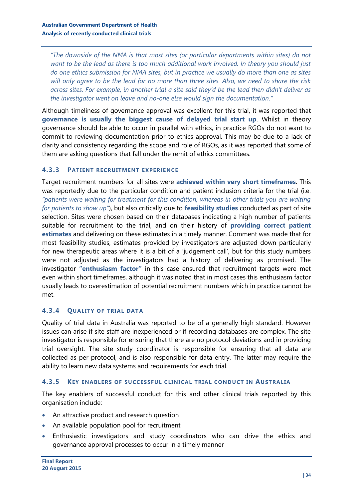*"The downside of the NMA is that most sites (or particular departments within sites) do not want to be the lead as there is too much additional work involved. In theory you should just do one ethics submission for NMA sites, but in practice we usually do more than one as sites will only agree to be the lead for no more than three sites. Also, we need to share the risk across sites. For example, in another trial a site said they'd be the lead then didn't deliver as the investigator went on leave and no-one else would sign the documentation."*

Although timeliness of governance approval was excellent for this trial, it was reported that **governance is usually the biggest cause of delayed trial start up**. Whilst in theory governance should be able to occur in parallel with ethics, in practice RGOs do not want to commit to reviewing documentation prior to ethics approval. This may be due to a lack of clarity and consistency regarding the scope and role of RGOs, as it was reported that some of them are asking questions that fall under the remit of ethics committees.

### **4.3.3 PATIENT RECRUITMENT EXPERIENCE**

Target recruitment numbers for all sites were **achieved within very short timeframes**. This was reportedly due to the particular condition and patient inclusion criteria for the trial (i.e. *"patients were waiting for treatment for this condition, whereas in other trials you are waiting for patients to show up"*), but also critically due to **feasibility studies** conducted as part of site selection. Sites were chosen based on their databases indicating a high number of patients suitable for recruitment to the trial, and on their history of **providing correct patient estimates** and delivering on these estimates in a timely manner. Comment was made that for most feasibility studies, estimates provided by investigators are adjusted down particularly for new therapeutic areas where it is a bit of a 'judgement call', but for this study numbers were not adjusted as the investigators had a history of delivering as promised. The investigator **"enthusiasm factor"** in this case ensured that recruitment targets were met even within short timeframes, although it was noted that in most cases this enthusiasm factor usually leads to overestimation of potential recruitment numbers which in practice cannot be met.

#### **4.3.4 QUALITY OF TRIAL DATA**

Quality of trial data in Australia was reported to be of a generally high standard. However issues can arise if site staff are inexperienced or if recording databases are complex. The site investigator is responsible for ensuring that there are no protocol deviations and in providing trial oversight. The site study coordinator is responsible for ensuring that all data are collected as per protocol, and is also responsible for data entry. The latter may require the ability to learn new data systems and requirements for each trial.

#### **4.3.5 KEY ENABLERS OF SUCCESSFUL CLINICAL TRIAL CONDUCT IN AUSTRALIA**

The key enablers of successful conduct for this and other clinical trials reported by this organisation include:

- An attractive product and research question
- An available population pool for recruitment
- Enthusiastic investigators and study coordinators who can drive the ethics and governance approval processes to occur in a timely manner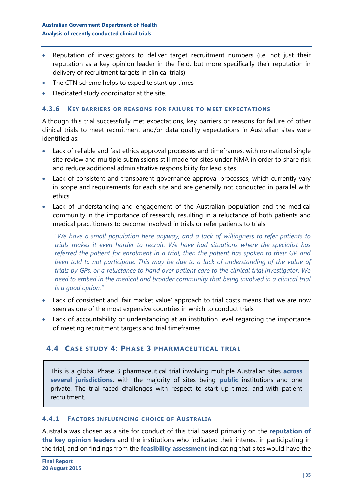- Reputation of investigators to deliver target recruitment numbers (i.e. not just their reputation as a key opinion leader in the field, but more specifically their reputation in delivery of recruitment targets in clinical trials)
- The CTN scheme helps to expedite start up times
- Dedicated study coordinator at the site.

#### **4.3.6 KEY BARRIERS OR REASONS FOR FAILURE TO MEET EXPECTATIONS**

Although this trial successfully met expectations, key barriers or reasons for failure of other clinical trials to meet recruitment and/or data quality expectations in Australian sites were identified as:

- Lack of reliable and fast ethics approval processes and timeframes, with no national single site review and multiple submissions still made for sites under NMA in order to share risk and reduce additional administrative responsibility for lead sites
- Lack of consistent and transparent governance approval processes, which currently vary in scope and requirements for each site and are generally not conducted in parallel with ethics
- Lack of understanding and engagement of the Australian population and the medical community in the importance of research, resulting in a reluctance of both patients and medical practitioners to become involved in trials or refer patients to trials

*"We have a small population here anyway, and a lack of willingness to refer patients to trials makes it even harder to recruit. We have had situations where the specialist has referred the patient for enrolment in a trial, then the patient has spoken to their GP and been told to not participate. This may be due to a lack of understanding of the value of trials by GPs, or a reluctance to hand over patient care to the clinical trial investigator. We need to embed in the medical and broader community that being involved in a clinical trial is a good option."*

- Lack of consistent and 'fair market value' approach to trial costs means that we are now seen as one of the most expensive countries in which to conduct trials
- Lack of accountability or understanding at an institution level regarding the importance of meeting recruitment targets and trial timeframes

## <span id="page-34-0"></span>**4.4 CASE STUDY 4: PHASE 3 PHARMACEUTICAL TRIAL**

This is a global Phase 3 pharmaceutical trial involving multiple Australian sites **across several jurisdictions**, with the majority of sites being **public** institutions and one private. The trial faced challenges with respect to start up times, and with patient recruitment.

#### **4.4.1 FACTORS INFLUENCING CHOICE OF AUSTRALIA**

Australia was chosen as a site for conduct of this trial based primarily on the **reputation of the key opinion leaders** and the institutions who indicated their interest in participating in the trial, and on findings from the **feasibility assessment** indicating that sites would have the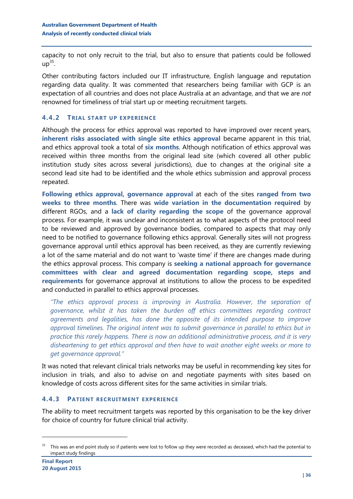capacity to not only recruit to the trial, but also to ensure that patients could be followed up $^{35}.$ 

Other contributing factors included our IT infrastructure, English language and reputation regarding data quality. It was commented that researchers being familiar with GCP is an expectation of all countries and does not place Australia at an advantage, and that we are *not* renowned for timeliness of trial start up or meeting recruitment targets.

## **4.4.2 TRIAL START UP EXPERIENCE**

Although the process for ethics approval was reported to have improved over recent years, **inherent risks associated with single site ethics approval** became apparent in this trial, and ethics approval took a total of **six months**. Although notification of ethics approval was received within three months from the original lead site (which covered all other public institution study sites across several jurisdictions), due to changes at the original site a second lead site had to be identified and the whole ethics submission and approval process repeated.

**Following ethics approval, governance approval** at each of the sites **ranged from two weeks to three months**. There was **wide variation in the documentation required** by different RGOs, and a **lack of clarity regarding the scope** of the governance approval process. For example, it was unclear and inconsistent as to what aspects of the protocol need to be reviewed and approved by governance bodies, compared to aspects that may only need to be notified to governance following ethics approval. Generally sites will not progress governance approval until ethics approval has been received, as they are currently reviewing a lot of the same material and do not want to 'waste time' if there are changes made during the ethics approval process. This company is **seeking a national approach for governance committees with clear and agreed documentation regarding scope, steps and requirements** for governance approval at institutions to allow the process to be expedited and conducted in parallel to ethics approval processes.

*"The ethics approval process is improving in Australia. However, the separation of governance, whilst it has taken the burden off ethics committees regarding contract agreements and legalities, has done the opposite of its intended purpose to improve approval timelines. The original intent was to submit governance in parallel to ethics but in practice this rarely happens. There is now an additional administrative process, and it is very disheartening to get ethics approval and then have to wait another eight weeks or more to get governance approval."*

It was noted that relevant clinical trials networks may be useful in recommending key sites for inclusion in trials, and also to advise on and negotiate payments with sites based on knowledge of costs across different sites for the same activities in similar trials.

#### **4.4.3 PATIENT RECRUITMENT EXPERIENCE**

The ability to meet recruitment targets was reported by this organisation to be the key driver for choice of country for future clinical trial activity.

<sup>&</sup>lt;sup>35</sup> This was an end point study so if patients were lost to follow up they were recorded as deceased, which had the potential to impact study findings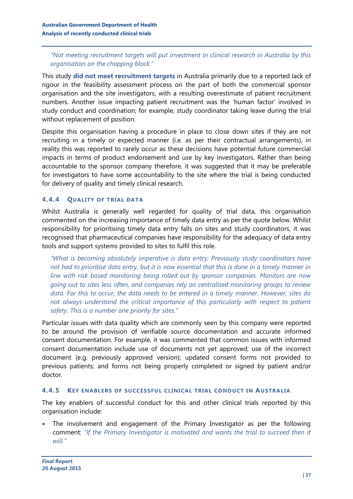## *"Not meeting recruitment targets will put investment in clinical research in Australia by this organisation on the chopping block."*

This study **did not meet recruitment targets** in Australia primarily due to a reported lack of rigour in the feasibility assessment process on the part of both the commercial sponsor organisation and the site investigators, with a resulting overestimate of patient recruitment numbers. Another issue impacting patient recruitment was the 'human factor' involved in study conduct and coordination; for example, study coordinator taking leave during the trial without replacement of position.

Despite this organisation having a procedure in place to close down sites if they are not recruiting in a timely or expected manner (i.e. as per their contractual arrangements), in reality this was reported to rarely occur as these decisions have potential future commercial impacts in terms of product endorsement and use by key investigators. Rather than being accountable to the sponsor company therefore, it was suggested that it may be preferable for investigators to have some accountability to the site where the trial is being conducted for delivery of quality and timely clinical research.

### **4.4.4 QUALITY OF TRIAL DATA**

Whilst Australia is generally well regarded for quality of trial data, this organisation commented on the increasing importance of timely data entry as per the quote below. Whilst responsibility for prioritising timely data entry falls on sites and study coordinators, it was recognised that pharmaceutical companies have responsibility for the adequacy of data entry tools and support systems provided to sites to fulfil this role.

*"What is becoming absolutely imperative is data entry. Previously study coordinators have not had to prioritise data entry, but it is now essential that this is done in a timely manner in line with risk based monitoring being rolled out by sponsor companies. Monitors are now going out to sites less often, and companies rely on centralised monitoring groups to review data. For this to occur, the data needs to be entered in a timely manner. However, sites do not always understand the critical importance of this particularly with respect to patient safety. This is a number one priority for sites."* 

Particular issues with data quality which are commonly seen by this company were reported to be around the provision of verifiable source documentation and accurate informed consent documentation. For example, it was commented that common issues with informed consent documentation include use of documents not yet approved; use of the incorrect document (e.g. previously approved version); updated consent forms not provided to previous patients; and forms not being properly completed or signed by patient and/or doctor.

#### **4.4.5 KEY ENABLERS OF SUCCESSFUL CLINICAL TRIAL CONDUCT IN AUSTRALIA**

The key enablers of successful conduct for this and other clinical trials reported by this organisation include:

 The involvement and engagement of the Primary Investigator as per the following comment: *"If the Primary Investigator is motivated and wants the trial to succeed then it will."*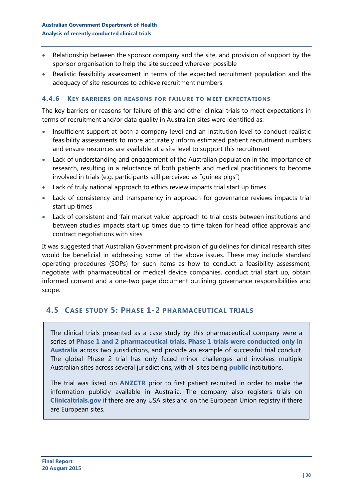- Relationship between the sponsor company and the site, and provision of support by the sponsor organisation to help the site succeed wherever possible
- Realistic feasibility assessment in terms of the expected recruitment population and the adequacy of site resources to achieve recruitment numbers

#### **4.4.6 KEY BARRIERS OR REASONS FOR FAILURE TO MEET EXPECTATIONS**

The key barriers or reasons for failure of this and other clinical trials to meet expectations in terms of recruitment and/or data quality in Australian sites were identified as:

- Insufficient support at both a company level and an institution level to conduct realistic feasibility assessments to more accurately inform estimated patient recruitment numbers and ensure resources are available at a site level to support this recruitment
- Lack of understanding and engagement of the Australian population in the importance of research, resulting in a reluctance of both patients and medical practitioners to become involved in trials (e.g. participants still perceived as "guinea pigs")
- Lack of truly national approach to ethics review impacts trial start up times
- Lack of consistency and transparency in approach for governance reviews impacts trial start up times
- Lack of consistent and 'fair market value' approach to trial costs between institutions and between studies impacts start up times due to time taken for head office approvals and contract negotiations with sites.

It was suggested that Australian Government provision of guidelines for clinical research sites would be beneficial in addressing some of the above issues. These may include standard operating procedures (SOPs) for such items as how to conduct a feasibility assessment, negotiate with pharmaceutical or medical device companies, conduct trial start up, obtain informed consent and a one-two page document outlining governance responsibilities and scope.

## <span id="page-37-0"></span>**4.5 CASE STUDY 5: PHASE 1-2 PHARMACEUTICAL TRIALS**

The clinical trials presented as a case study by this pharmaceutical company were a series of **Phase 1 and 2 pharmaceutical trials**. **Phase 1 trials were conducted only in Australia** across two jurisdictions, and provide an example of successful trial conduct. The global Phase 2 trial has only faced minor challenges and involves multiple Australian sites across several jurisdictions, with all sites being **public** institutions.

The trial was listed on **ANZCTR** prior to first patient recruited in order to make the information publicly available in Australia. The company also registers trials on **Clinicaltrials.gov** if there are any USA sites and on the European Union registry if there are European sites.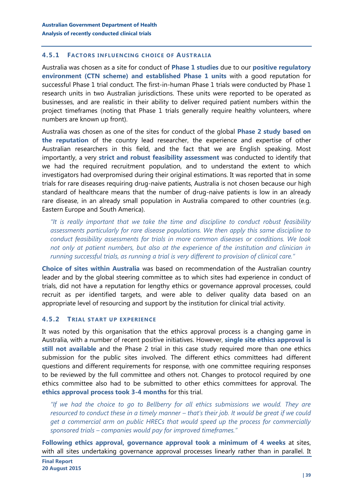#### **4.5.1 FACTORS INFLUENCING CHOICE OF AUSTRALIA**

Australia was chosen as a site for conduct of **Phase 1 studies** due to our **positive regulatory environment (CTN scheme) and established Phase 1 units** with a good reputation for successful Phase 1 trial conduct. The first-in-human Phase 1 trials were conducted by Phase 1 research units in two Australian jurisdictions. These units were reported to be operated as businesses, and are realistic in their ability to deliver required patient numbers within the project timeframes (noting that Phase 1 trials generally require healthy volunteers, where numbers are known up front).

Australia was chosen as one of the sites for conduct of the global **Phase 2 study based on the reputation** of the country lead researcher, the experience and expertise of other Australian researchers in this field, and the fact that we are English speaking. Most importantly, a very **strict and robust feasibility assessment** was conducted to identify that we had the required recruitment population, and to understand the extent to which investigators had overpromised during their original estimations. It was reported that in some trials for rare diseases requiring drug-naive patients, Australia is not chosen because our high standard of healthcare means that the number of drug-naive patients is low in an already rare disease, in an already small population in Australia compared to other countries (e.g. Eastern Europe and South America).

*"It is really important that we take the time and discipline to conduct robust feasibility assessments particularly for rare disease populations. We then apply this same discipline to conduct feasibility assessments for trials in more common diseases or conditions. We look not only at patient numbers, but also at the experience of the institution and clinician in running successful trials, as running a trial is very different to provision of clinical care."*

**Choice of sites within Australia** was based on recommendation of the Australian country leader and by the global steering committee as to which sites had experience in conduct of trials, did not have a reputation for lengthy ethics or governance approval processes, could recruit as per identified targets, and were able to deliver quality data based on an appropriate level of resourcing and support by the institution for clinical trial activity.

#### **4.5.2 TRIAL START UP EXPERIENCE**

It was noted by this organisation that the ethics approval process is a changing game in Australia, with a number of recent positive initiatives. However, **single site ethics approval is still not available** and the Phase 2 trial in this case study required more than one ethics submission for the public sites involved. The different ethics committees had different questions and different requirements for response, with one committee requiring responses to be reviewed by the full committee and others not. Changes to protocol required by one ethics committee also had to be submitted to other ethics committees for approval. The **ethics approval process took 3-4 months** for this trial.

*"If we had the choice to go to Bellberry for all ethics submissions we would. They are resourced to conduct these in a timely manner – that's their job. It would be great if we could get a commercial arm on public HRECs that would speed up the process for commercially sponsored trials – companies would pay for improved timeframes."*

**Following ethics approval, governance approval took a minimum of 4 weeks** at sites, with all sites undertaking governance approval processes linearly rather than in parallel. It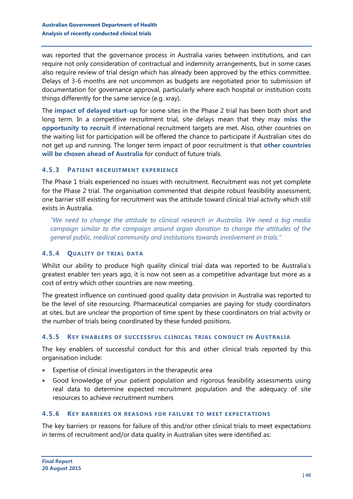was reported that the governance process in Australia varies between institutions, and can require not only consideration of contractual and indemnity arrangements, but in some cases also require review of trial design which has already been approved by the ethics committee. Delays of 3-6 months are not uncommon as budgets are negotiated prior to submission of documentation for governance approval, particularly where each hospital or institution costs things differently for the same service (e.g. xray).

The **impact of delayed start-up** for some sites in the Phase 2 trial has been both short and long term. In a competitive recruitment trial, site delays mean that they may **miss the opportunity to recruit** if international recruitment targets are met. Also, other countries on the waiting list for participation will be offered the chance to participate if Australian sites do not get up and running. The longer term impact of poor recruitment is that **other countries will be chosen ahead of Australia** for conduct of future trials.

#### **4.5.3 PATIENT RECRUITMENT EXPERIENCE**

The Phase 1 trials experienced no issues with recruitment. Recruitment was not yet complete for the Phase 2 trial. The organisation commented that despite robust feasibility assessment, one barrier still existing for recruitment was the attitude toward clinical trial activity which still exists in Australia.

*"We need to change the attitude to clinical research in Australia. We need a big media campaign similar to the campaign around organ donation to change the attitudes of the general public, medical community and institutions towards involvement in trials."*

## **4.5.4 QUALITY OF TRIAL DATA**

Whilst our ability to produce high quality clinical trial data was reported to be Australia's greatest enabler ten years ago, it is now not seen as a competitive advantage but more as a cost of entry which other countries are now meeting.

The greatest influence on continued good quality data provision in Australia was reported to be the level of site resourcing. Pharmaceutical companies are paying for study coordinators at sites, but are unclear the proportion of time spent by these coordinators on trial activity or the number of trials being coordinated by these funded positions.

#### **4.5.5 KEY ENABLERS OF SUCCESSFUL CLINICAL TRIAL CONDUCT IN AUSTRALIA**

The key enablers of successful conduct for this and other clinical trials reported by this organisation include:

- Expertise of clinical investigators in the therapeutic area
- Good knowledge of your patient population and rigorous feasibility assessments using real data to determine expected recruitment population and the adequacy of site resources to achieve recruitment numbers

#### **4.5.6 KEY BARRIERS OR REASONS FOR FAILURE TO MEET EXPECTATIONS**

The key barriers or reasons for failure of this and/or other clinical trials to meet expectations in terms of recruitment and/or data quality in Australian sites were identified as: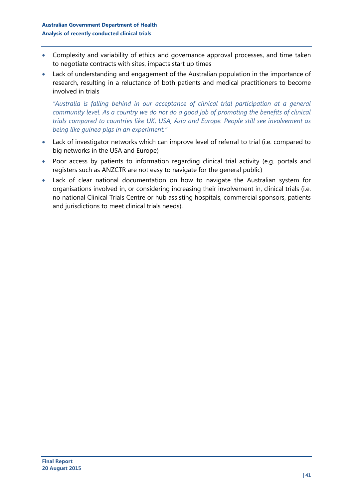- Complexity and variability of ethics and governance approval processes, and time taken to negotiate contracts with sites, impacts start up times
- Lack of understanding and engagement of the Australian population in the importance of research, resulting in a reluctance of both patients and medical practitioners to become involved in trials

*"Australia is falling behind in our acceptance of clinical trial participation at a general community level. As a country we do not do a good job of promoting the benefits of clinical trials compared to countries like UK, USA, Asia and Europe. People still see involvement as being like guinea pigs in an experiment."*

- Lack of investigator networks which can improve level of referral to trial (i.e. compared to big networks in the USA and Europe)
- Poor access by patients to information regarding clinical trial activity (e.g. portals and registers such as ANZCTR are not easy to navigate for the general public)
- Lack of clear national documentation on how to navigate the Australian system for organisations involved in, or considering increasing their involvement in, clinical trials (i.e. no national Clinical Trials Centre or hub assisting hospitals, commercial sponsors, patients and jurisdictions to meet clinical trials needs).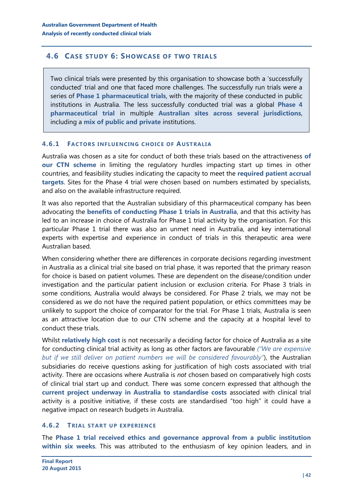## <span id="page-41-0"></span>**4.6 CASE STUDY 6: SHOWCASE OF TWO TRIALS**

Two clinical trials were presented by this organisation to showcase both a 'successfully conducted' trial and one that faced more challenges. The successfully run trials were a series of **Phase 1 pharmaceutical trials**, with the majority of these conducted in public institutions in Australia. The less successfully conducted trial was a global **Phase 4 pharmaceutical trial** in multiple **Australian sites across several jurisdictions**, including a **mix of public and private** institutions.

#### **4.6.1 FACTORS INFLUENCING CHOICE OF AUSTRALIA**

Australia was chosen as a site for conduct of both these trials based on the attractiveness **of our CTN scheme** in limiting the regulatory hurdles impacting start up times in other countries, and feasibility studies indicating the capacity to meet the **required patient accrual targets**. Sites for the Phase 4 trial were chosen based on numbers estimated by specialists, and also on the available infrastructure required.

It was also reported that the Australian subsidiary of this pharmaceutical company has been advocating the **benefits of conducting Phase 1 trials in Australia**, and that this activity has led to an increase in choice of Australia for Phase 1 trial activity by the organisation. For this particular Phase 1 trial there was also an unmet need in Australia, and key international experts with expertise and experience in conduct of trials in this therapeutic area were Australian based.

When considering whether there are differences in corporate decisions regarding investment in Australia as a clinical trial site based on trial phase, it was reported that the primary reason for choice is based on patient volumes. These are dependent on the disease/condition under investigation and the particular patient inclusion or exclusion criteria. For Phase 3 trials in some conditions, Australia would always be considered. For Phase 2 trials, we may not be considered as we do not have the required patient population, or ethics committees may be unlikely to support the choice of comparator for the trial. For Phase 1 trials, Australia is seen as an attractive location due to our CTN scheme and the capacity at a hospital level to conduct these trials.

Whilst **relatively high cost** is not necessarily a deciding factor for choice of Australia as a site for conducting clinical trial activity as long as other factors are favourable *("We are expensive but if we still deliver on patient numbers we will be considered favourably"*), the Australian subsidiaries do receive questions asking for justification of high costs associated with trial activity. There are occasions where Australia is *not* chosen based on comparatively high costs of clinical trial start up and conduct. There was some concern expressed that although the **current project underway in Australia to standardise costs** associated with clinical trial activity is a positive initiative, if these costs are standardised "too high" it could have a negative impact on research budgets in Australia.

#### **4.6.2 TRIAL START UP EXPERIENCE**

The **Phase 1 trial received ethics and governance approval from a public institution within six weeks**. This was attributed to the enthusiasm of key opinion leaders, and in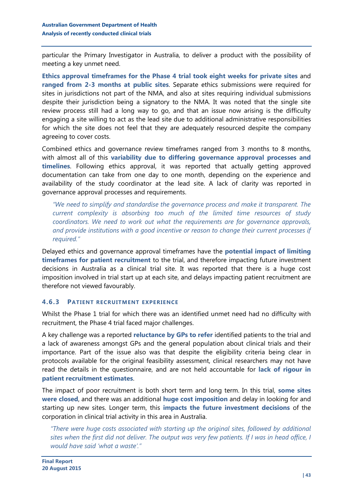particular the Primary Investigator in Australia, to deliver a product with the possibility of meeting a key unmet need.

**Ethics approval timeframes for the Phase 4 trial took eight weeks for private sites** and **ranged from 2-3 months at public sites**. Separate ethics submissions were required for sites in jurisdictions not part of the NMA, and also at sites requiring individual submissions despite their jurisdiction being a signatory to the NMA. It was noted that the single site review process still had a long way to go, and that an issue now arising is the difficulty engaging a site willing to act as the lead site due to additional administrative responsibilities for which the site does not feel that they are adequately resourced despite the company agreeing to cover costs.

Combined ethics and governance review timeframes ranged from 3 months to 8 months, with almost all of this **variability due to differing governance approval processes and timelines**. Following ethics approval, it was reported that actually getting approved documentation can take from one day to one month, depending on the experience and availability of the study coordinator at the lead site. A lack of clarity was reported in governance approval processes and requirements.

*"We need to simplify and standardise the governance process and make it transparent. The current complexity is absorbing too much of the limited time resources of study coordinators. We need to work out what the requirements are for governance approvals, and provide institutions with a good incentive or reason to change their current processes if required."* 

Delayed ethics and governance approval timeframes have the **potential impact of limiting timeframes for patient recruitment** to the trial, and therefore impacting future investment decisions in Australia as a clinical trial site. It was reported that there is a huge cost imposition involved in trial start up at each site, and delays impacting patient recruitment are therefore not viewed favourably.

#### **4.6.3 PATIENT RECRUITMENT EXPERIENCE**

Whilst the Phase 1 trial for which there was an identified unmet need had no difficulty with recruitment, the Phase 4 trial faced major challenges.

A key challenge was a reported **reluctance by GPs to refer** identified patients to the trial and a lack of awareness amongst GPs and the general population about clinical trials and their importance. Part of the issue also was that despite the eligibility criteria being clear in protocols available for the original feasibility assessment, clinical researchers may not have read the details in the questionnaire, and are not held accountable for **lack of rigour in patient recruitment estimates**.

The impact of poor recruitment is both short term and long term. In this trial, **some sites were closed**, and there was an additional **huge cost imposition** and delay in looking for and starting up new sites. Longer term, this **impacts the future investment decisions** of the corporation in clinical trial activity in this area in Australia.

*"There were huge costs associated with starting up the original sites, followed by additional sites when the first did not deliver. The output was very few patients. If I was in head office, I would have said 'what a waste'."*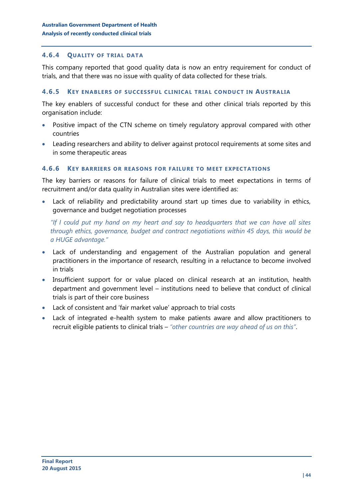#### **4.6.4 QUALITY OF TRIAL DATA**

This company reported that good quality data is now an entry requirement for conduct of trials, and that there was no issue with quality of data collected for these trials.

#### **4.6.5 KEY ENABLERS OF SUCCESSFUL CLINICAL TRIAL CONDUCT IN AUSTRALIA**

The key enablers of successful conduct for these and other clinical trials reported by this organisation include:

- Positive impact of the CTN scheme on timely regulatory approval compared with other countries
- Leading researchers and ability to deliver against protocol requirements at some sites and in some therapeutic areas

#### **4.6.6 KEY BARRIERS OR REASONS FOR FAILURE TO MEET EXPECTATIONS**

The key barriers or reasons for failure of clinical trials to meet expectations in terms of recruitment and/or data quality in Australian sites were identified as:

 Lack of reliability and predictability around start up times due to variability in ethics, governance and budget negotiation processes

*"If I could put my hand on my heart and say to headquarters that we can have all sites through ethics, governance, budget and contract negotiations within 45 days, this would be a HUGE advantage."*

- Lack of understanding and engagement of the Australian population and general practitioners in the importance of research, resulting in a reluctance to become involved in trials
- Insufficient support for or value placed on clinical research at an institution, health department and government level – institutions need to believe that conduct of clinical trials is part of their core business
- Lack of consistent and 'fair market value' approach to trial costs
- Lack of integrated e-health system to make patients aware and allow practitioners to recruit eligible patients to clinical trials – *"other countries are way ahead of us on this"*.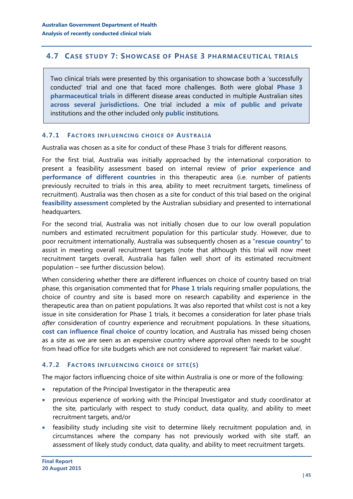## <span id="page-44-0"></span>**4.7 CASE STUDY 7: SHOWCASE OF PHASE 3 PHARMACEUTICAL TRIALS**

Two clinical trials were presented by this organisation to showcase both a 'successfully conducted' trial and one that faced more challenges. Both were global **Phase 3 pharmaceutical trials** in different disease areas conducted in multiple Australian sites **across several jurisdictions.** One trial included a **mix of public and private** institutions and the other included only **public** institutions.

#### **4.7.1 FACTORS INFLUENCING CHOICE OF AUSTRALIA**

Australia was chosen as a site for conduct of these Phase 3 trials for different reasons.

For the first trial, Australia was initially approached by the international corporation to present a feasibility assessment based on internal review of **prior experience and performance of different countries** in this therapeutic area (i.e. number of patients previously recruited to trials in this area, ability to meet recruitment targets, timeliness of recruitment). Australia was then chosen as a site for conduct of this trial based on the original **feasibility assessment** completed by the Australian subsidiary and presented to international headquarters.

For the second trial, Australia was not initially chosen due to our low overall population numbers and estimated recruitment population for this particular study. However, due to poor recruitment internationally, Australia was subsequently chosen as a "**rescue country**" to assist in meeting overall recruitment targets (note that although this trial will now meet recruitment targets overall, Australia has fallen well short of its estimated recruitment population – see further discussion below).

When considering whether there are different influences on choice of country based on trial phase, this organisation commented that for **Phase 1 trials** requiring smaller populations, the choice of country and site is based more on research capability and experience in the therapeutic area than on patient populations. It was also reported that whilst cost is not a key issue in site consideration for Phase 1 trials, it becomes a consideration for later phase trials *after* consideration of country experience and recruitment populations. In these situations, **cost can influence final choice** of country location, and Australia has missed being chosen as a site as we are seen as an expensive country where approval often needs to be sought from head office for site budgets which are not considered to represent 'fair market value'.

#### **4.7.2 FACTORS INFLUENCING CHOICE OF SITE(S)**

The major factors influencing choice of site within Australia is one or more of the following:

- reputation of the Principal Investigator in the therapeutic area
- previous experience of working with the Principal Investigator and study coordinator at the site, particularly with respect to study conduct, data quality, and ability to meet recruitment targets, and/or
- feasibility study including site visit to determine likely recruitment population and, in circumstances where the company has not previously worked with site staff, an assessment of likely study conduct, data quality, and ability to meet recruitment targets.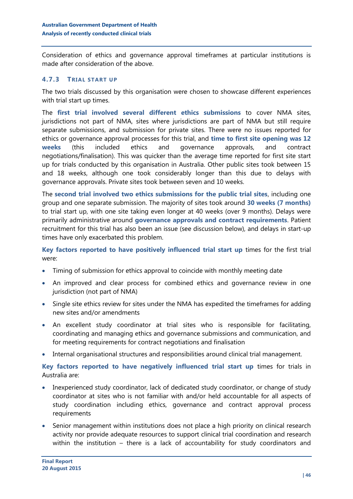Consideration of ethics and governance approval timeframes at particular institutions is made after consideration of the above.

#### **4.7.3 TRIAL START UP**

The two trials discussed by this organisation were chosen to showcase different experiences with trial start up times.

The **first trial involved several different ethics submissions** to cover NMA sites, jurisdictions not part of NMA, sites where jurisdictions are part of NMA but still require separate submissions, and submission for private sites. There were no issues reported for ethics or governance approval processes for this trial, and **time to first site opening was 12 weeks** (this included ethics and governance approvals, and contract negotiations/finalisation). This was quicker than the average time reported for first site start up for trials conducted by this organisation in Australia. Other public sites took between 15 and 18 weeks, although one took considerably longer than this due to delays with governance approvals. Private sites took between seven and 10 weeks.

The **second trial involved two ethics submissions for the public trial sites**, including one group and one separate submission. The majority of sites took around **30 weeks (7 months)** to trial start up, with one site taking even longer at 40 weeks (over 9 months). Delays were primarily administrative around **governance approvals and contract requirements**. Patient recruitment for this trial has also been an issue (see discussion below), and delays in start-up times have only exacerbated this problem.

**Key factors reported to have positively influenced trial start up** times for the first trial were:

- Timing of submission for ethics approval to coincide with monthly meeting date
- An improved and clear process for combined ethics and governance review in one jurisdiction (not part of NMA)
- Single site ethics review for sites under the NMA has expedited the timeframes for adding new sites and/or amendments
- An excellent study coordinator at trial sites who is responsible for facilitating, coordinating and managing ethics and governance submissions and communication, and for meeting requirements for contract negotiations and finalisation
- Internal organisational structures and responsibilities around clinical trial management.

**Key factors reported to have negatively influenced trial start up** times for trials in Australia are:

- Inexperienced study coordinator, lack of dedicated study coordinator, or change of study coordinator at sites who is not familiar with and/or held accountable for all aspects of study coordination including ethics, governance and contract approval process requirements
- Senior management within institutions does not place a high priority on clinical research activity nor provide adequate resources to support clinical trial coordination and research within the institution – there is a lack of accountability for study coordinators and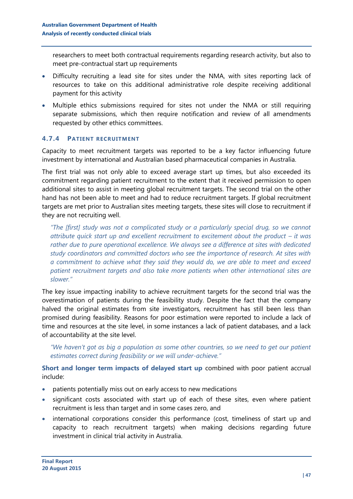researchers to meet both contractual requirements regarding research activity, but also to meet pre-contractual start up requirements

- Difficulty recruiting a lead site for sites under the NMA, with sites reporting lack of resources to take on this additional administrative role despite receiving additional payment for this activity
- Multiple ethics submissions required for sites not under the NMA or still requiring separate submissions, which then require notification and review of all amendments requested by other ethics committees.

### **4.7.4 PATIENT RECRUITMENT**

Capacity to meet recruitment targets was reported to be a key factor influencing future investment by international and Australian based pharmaceutical companies in Australia.

The first trial was not only able to exceed average start up times, but also exceeded its commitment regarding patient recruitment to the extent that it received permission to open additional sites to assist in meeting global recruitment targets. The second trial on the other hand has not been able to meet and had to reduce recruitment targets. If global recruitment targets are met prior to Australian sites meeting targets, these sites will close to recruitment if they are not recruiting well.

*"The [first] study was not a complicated study or a particularly special drug, so we cannot attribute quick start up and excellent recruitment to excitement about the product – it was rather due to pure operational excellence. We always see a difference at sites with dedicated study coordinators and committed doctors who see the importance of research. At sites with a commitment to achieve what they said they would do, we are able to meet and exceed patient recruitment targets and also take more patients when other international sites are slower."*

The key issue impacting inability to achieve recruitment targets for the second trial was the overestimation of patients during the feasibility study. Despite the fact that the company halved the original estimates from site investigators, recruitment has still been less than promised during feasibility. Reasons for poor estimation were reported to include a lack of time and resources at the site level, in some instances a lack of patient databases, and a lack of accountability at the site level.

*"We haven't got as big a population as some other countries, so we need to get our patient estimates correct during feasibility or we will under-achieve."*

**Short and longer term impacts of delayed start up** combined with poor patient accrual include:

- patients potentially miss out on early access to new medications
- significant costs associated with start up of each of these sites, even where patient recruitment is less than target and in some cases zero, and
- international corporations consider this performance (cost, timeliness of start up and capacity to reach recruitment targets) when making decisions regarding future investment in clinical trial activity in Australia.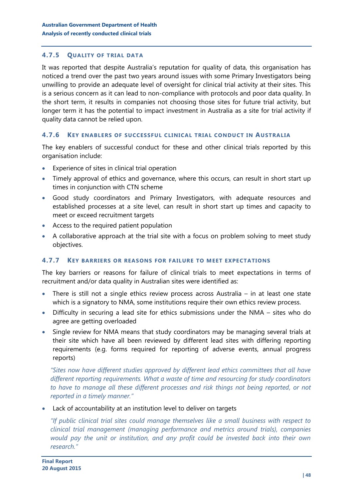#### **4.7.5 QUALITY OF TRIAL DATA**

It was reported that despite Australia's reputation for quality of data, this organisation has noticed a trend over the past two years around issues with some Primary Investigators being unwilling to provide an adequate level of oversight for clinical trial activity at their sites. This is a serious concern as it can lead to non-compliance with protocols and poor data quality. In the short term, it results in companies not choosing those sites for future trial activity, but longer term it has the potential to impact investment in Australia as a site for trial activity if quality data cannot be relied upon.

#### **4.7.6 KEY ENABLERS OF SUCCESSFUL CLINICAL TRIAL CONDUCT IN AUSTRALIA**

The key enablers of successful conduct for these and other clinical trials reported by this organisation include:

- Experience of sites in clinical trial operation
- Timely approval of ethics and governance, where this occurs, can result in short start up times in conjunction with CTN scheme
- Good study coordinators and Primary Investigators, with adequate resources and established processes at a site level, can result in short start up times and capacity to meet or exceed recruitment targets
- Access to the required patient population
- A collaborative approach at the trial site with a focus on problem solving to meet study objectives.

#### **4.7.7 KEY BARRIERS OR REASONS FOR FAILURE TO MEET EXPECTATIONS**

The key barriers or reasons for failure of clinical trials to meet expectations in terms of recruitment and/or data quality in Australian sites were identified as:

- There is still not a single ethics review process across Australia in at least one state which is a signatory to NMA, some institutions require their own ethics review process.
- Difficulty in securing a lead site for ethics submissions under the NMA sites who do agree are getting overloaded
- Single review for NMA means that study coordinators may be managing several trials at their site which have all been reviewed by different lead sites with differing reporting requirements (e.g. forms required for reporting of adverse events, annual progress reports)

*"Sites now have different studies approved by different lead ethics committees that all have different reporting requirements. What a waste of time and resourcing for study coordinators to have to manage all these different processes and risk things not being reported, or not reported in a timely manner."*

Lack of accountability at an institution level to deliver on targets

*"If public clinical trial sites could manage themselves like a small business with respect to clinical trial management (managing performance and metrics around trials), companies would pay the unit or institution, and any profit could be invested back into their own research."*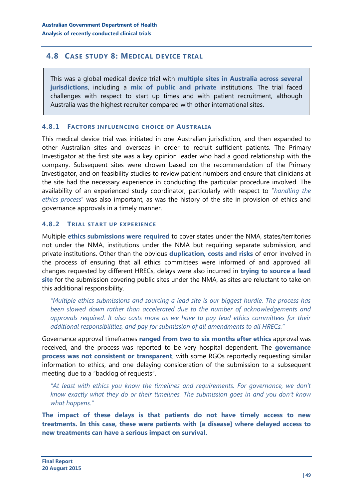## <span id="page-48-0"></span>**4.8 CASE STUDY 8: MEDICAL DEVICE TRIAL**

This was a global medical device trial with **multiple sites in Australia across several jurisdictions**, including a **mix of public and private** institutions. The trial faced challenges with respect to start up times and with patient recruitment, although Australia was the highest recruiter compared with other international sites.

#### **4.8.1 FACTORS INFLUENCING CHOICE OF AUSTRALIA**

This medical device trial was initiated in one Australian jurisdiction, and then expanded to other Australian sites and overseas in order to recruit sufficient patients. The Primary Investigator at the first site was a key opinion leader who had a good relationship with the company. Subsequent sites were chosen based on the recommendation of the Primary Investigator, and on feasibility studies to review patient numbers and ensure that clinicians at the site had the necessary experience in conducting the particular procedure involved. The availability of an experienced study coordinator, particularly with respect to "*handling the ethics process*" was also important, as was the history of the site in provision of ethics and governance approvals in a timely manner.

### **4.8.2 TRIAL START UP EXPERIENCE**

Multiple **ethics submissions were required** to cover states under the NMA, states/territories not under the NMA, institutions under the NMA but requiring separate submission, and private institutions. Other than the obvious **duplication, costs and risks** of error involved in the process of ensuring that all ethics committees were informed of and approved all changes requested by different HRECs, delays were also incurred in **trying to source a lead site** for the submission covering public sites under the NMA, as sites are reluctant to take on this additional responsibility.

*"Multiple ethics submissions and sourcing a lead site is our biggest hurdle. The process has been slowed down rather than accelerated due to the number of acknowledgements and approvals required. It also costs more as we have to pay lead ethics committees for their additional responsibilities, and pay for submission of all amendments to all HRECs."*

Governance approval timeframes **ranged from two to six months after ethics** approval was received, and the process was reported to be very hospital dependent. The **governance process was not consistent or transparent**, with some RGOs reportedly requesting similar information to ethics, and one delaying consideration of the submission to a subsequent meeting due to a "backlog of requests".

*"At least with ethics you know the timelines and requirements. For governance, we don't know exactly what they do or their timelines. The submission goes in and you don't know what happens."*

**The impact of these delays is that patients do not have timely access to new treatments. In this case, these were patients with [a disease] where delayed access to new treatments can have a serious impact on survival.**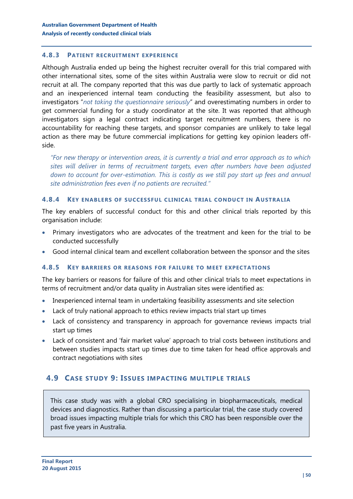#### **4.8.3 PATIENT RECRUITMENT EXPERIENCE**

Although Australia ended up being the highest recruiter overall for this trial compared with other international sites, some of the sites within Australia were slow to recruit or did not recruit at all. The company reported that this was due partly to lack of systematic approach and an inexperienced internal team conducting the feasibility assessment, but also to investigators "*not taking the questionnaire seriously*" and overestimating numbers in order to get commercial funding for a study coordinator at the site. It was reported that although investigators sign a legal contract indicating target recruitment numbers, there is no accountability for reaching these targets, and sponsor companies are unlikely to take legal action as there may be future commercial implications for getting key opinion leaders offside.

*"For new therapy or intervention areas, it is currently a trial and error approach as to which sites will deliver in terms of recruitment targets, even after numbers have been adjusted down to account for over-estimation. This is costly as we still pay start up fees and annual site administration fees even if no patients are recruited."*

#### **4.8.4 KEY ENABLERS OF SUCCESSFUL CLINICAL TRIAL CONDUCT IN AUSTRALIA**

The key enablers of successful conduct for this and other clinical trials reported by this organisation include:

- Primary investigators who are advocates of the treatment and keen for the trial to be conducted successfully
- Good internal clinical team and excellent collaboration between the sponsor and the sites

#### **4.8.5 KEY BARRIERS OR REASONS FOR FAILURE TO MEET EXPECTATIONS**

The key barriers or reasons for failure of this and other clinical trials to meet expectations in terms of recruitment and/or data quality in Australian sites were identified as:

- Inexperienced internal team in undertaking feasibility assessments and site selection
- Lack of truly national approach to ethics review impacts trial start up times
- Lack of consistency and transparency in approach for governance reviews impacts trial start up times
- Lack of consistent and 'fair market value' approach to trial costs between institutions and between studies impacts start up times due to time taken for head office approvals and contract negotiations with sites

#### <span id="page-49-0"></span>**4.9 CASE STUDY 9: ISSUES IMPACTING MULTIPLE TRIALS**

This case study was with a global CRO specialising in biopharmaceuticals, medical devices and diagnostics. Rather than discussing a particular trial, the case study covered broad issues impacting multiple trials for which this CRO has been responsible over the past five years in Australia.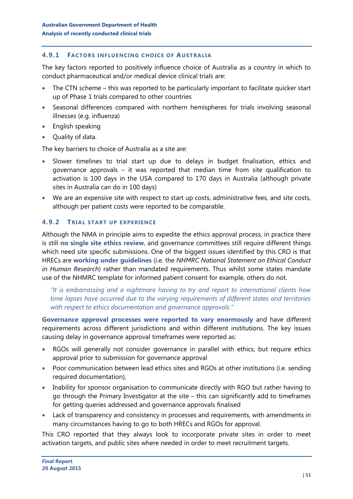#### **4.9.1 FACTORS INFLUENCING CHOICE OF AUSTRALIA**

The key factors reported to positively influence choice of Australia as a country in which to conduct pharmaceutical and/or medical device clinical trials are:

- The CTN scheme this was reported to be particularly important to facilitate quicker start up of Phase 1 trials compared to other countries
- Seasonal differences compared with northern hemispheres for trials involving seasonal illnesses (e.g. influenza)
- $\bullet$  English speaking
- Quality of data.

The key barriers to choice of Australia as a site are:

- Slower timelines to trial start up due to delays in budget finalisation, ethics and governance approvals – it was reported that median time from site qualification to activation is 100 days in the USA compared to 170 days in Australia (although private sites in Australia can do in 100 days)
- We are an expensive site with respect to start up costs, administrative fees, and site costs, although per patient costs were reported to be comparable.

#### **4.9.2 TRIAL START UP EXPERIENCE**

Although the NMA in principle aims to expedite the ethics approval process, in practice there is still **no single site ethics review**, and governance committees still require different things which need site specific submissions. One of the biggest issues identified by this CRO is that HRECs are **working under guidelines** (i.e. the *NHMRC National Statement on Ethical Conduct in Human Research*) rather than mandated requirements. Thus whilst some states mandate use of the NHMRC template for informed patient consent for example, others do not.

*"It is embarrassing and a nightmare having to try and report to international clients how time lapses have occurred due to the varying requirements of different states and territories with respect to ethics documentation and governance approvals."*

**Governance approval processes were reported to vary enormously** and have different requirements across different jurisdictions and within different institutions. The key issues causing delay in governance approval timeframes were reported as:

- RGOs will generally not consider governance in parallel with ethics, but require ethics approval prior to submission for governance approval
- Poor communication between lead ethics sites and RGOs at other institutions (i.e. sending required documentation),
- Inability for sponsor organisation to communicate directly with RGO but rather having to go through the Primary Investigator at the site – this can significantly add to timeframes for getting queries addressed and governance approvals finalised
- Lack of transparency and consistency in processes and requirements, with amendments in many circumstances having to go to both HRECs and RGOs for approval.

This CRO reported that they always look to incorporate private sites in order to meet activation targets, and public sites where needed in order to meet recruitment targets.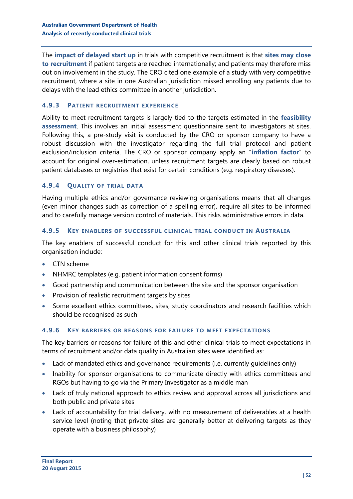The **impact of delayed start up** in trials with competitive recruitment is that **sites may close to recruitment** if patient targets are reached internationally; and patients may therefore miss out on involvement in the study. The CRO cited one example of a study with very competitive recruitment, where a site in one Australian jurisdiction missed enrolling any patients due to delays with the lead ethics committee in another jurisdiction.

#### **4.9.3 PATIENT RECRUITMENT EXPERIENCE**

Ability to meet recruitment targets is largely tied to the targets estimated in the **feasibility assessment**. This involves an initial assessment questionnaire sent to investigators at sites. Following this, a pre-study visit is conducted by the CRO or sponsor company to have a robust discussion with the investigator regarding the full trial protocol and patient exclusion/inclusion criteria. The CRO or sponsor company apply an "**inflation factor**" to account for original over-estimation, unless recruitment targets are clearly based on robust patient databases or registries that exist for certain conditions (e.g. respiratory diseases).

#### **4.9.4 QUALITY OF TRIAL DATA**

Having multiple ethics and/or governance reviewing organisations means that all changes (even minor changes such as correction of a spelling error), require all sites to be informed and to carefully manage version control of materials. This risks administrative errors in data.

#### **4.9.5 KEY ENABLERS OF SUCCESSFUL CLINICAL TRIAL CONDUCT IN AUSTRALIA**

The key enablers of successful conduct for this and other clinical trials reported by this organisation include:

- CTN scheme
- NHMRC templates (e.g. patient information consent forms)
- Good partnership and communication between the site and the sponsor organisation
- Provision of realistic recruitment targets by sites
- Some excellent ethics committees, sites, study coordinators and research facilities which should be recognised as such

#### **4.9.6 KEY BARRIERS OR REASONS FOR FAILURE TO MEET EXPECTATIONS**

The key barriers or reasons for failure of this and other clinical trials to meet expectations in terms of recruitment and/or data quality in Australian sites were identified as:

- Lack of mandated ethics and governance requirements (i.e. currently guidelines only)
- Inability for sponsor organisations to communicate directly with ethics committees and RGOs but having to go via the Primary Investigator as a middle man
- Lack of truly national approach to ethics review and approval across all jurisdictions and both public and private sites
- Lack of accountability for trial delivery, with no measurement of deliverables at a health service level (noting that private sites are generally better at delivering targets as they operate with a business philosophy)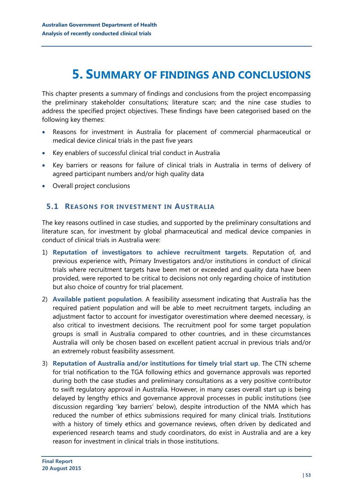## <span id="page-52-0"></span>**5. SUMMARY OF FINDINGS AND CONCLUSIONS**

This chapter presents a summary of findings and conclusions from the project encompassing the preliminary stakeholder consultations; literature scan; and the nine case studies to address the specified project objectives. These findings have been categorised based on the following key themes:

- Reasons for investment in Australia for placement of commercial pharmaceutical or medical device clinical trials in the past five years
- Key enablers of successful clinical trial conduct in Australia
- Key barriers or reasons for failure of clinical trials in Australia in terms of delivery of agreed participant numbers and/or high quality data
- Overall project conclusions

#### <span id="page-52-1"></span>**5.1 REASONS FOR INVESTMENT IN AUSTRALIA**

The key reasons outlined in case studies, and supported by the preliminary consultations and literature scan, for investment by global pharmaceutical and medical device companies in conduct of clinical trials in Australia were:

- 1) **Reputation of investigators to achieve recruitment targets**. Reputation of, and previous experience with, Primary Investigators and/or institutions in conduct of clinical trials where recruitment targets have been met or exceeded and quality data have been provided, were reported to be critical to decisions not only regarding choice of institution but also choice of country for trial placement.
- 2) **Available patient population**. A feasibility assessment indicating that Australia has the required patient population and will be able to meet recruitment targets, including an adjustment factor to account for investigator overestimation where deemed necessary, is also critical to investment decisions. The recruitment pool for some target population groups is small in Australia compared to other countries, and in these circumstances Australia will only be chosen based on excellent patient accrual in previous trials and/or an extremely robust feasibility assessment.
- 3) **Reputation of Australia and/or institutions for timely trial start up**. The CTN scheme for trial notification to the TGA following ethics and governance approvals was reported during both the case studies and preliminary consultations as a very positive contributor to swift regulatory approval in Australia. However, in many cases overall start up is being delayed by lengthy ethics and governance approval processes in public institutions (see discussion regarding 'key barriers' below), despite introduction of the NMA which has reduced the number of ethics submissions required for many clinical trials. Institutions with a history of timely ethics and governance reviews, often driven by dedicated and experienced research teams and study coordinators, do exist in Australia and are a key reason for investment in clinical trials in those institutions.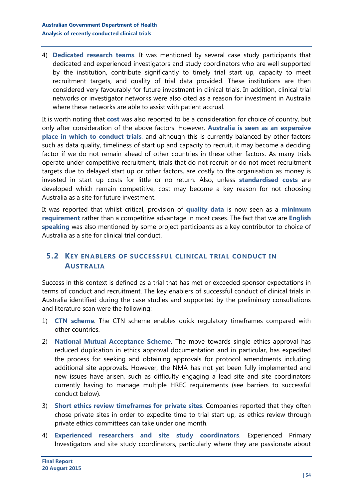4) **Dedicated research teams**. It was mentioned by several case study participants that dedicated and experienced investigators and study coordinators who are well supported by the institution, contribute significantly to timely trial start up, capacity to meet recruitment targets, and quality of trial data provided. These institutions are then considered very favourably for future investment in clinical trials. In addition, clinical trial networks or investigator networks were also cited as a reason for investment in Australia where these networks are able to assist with patient accrual.

It is worth noting that **cost** was also reported to be a consideration for choice of country, but only after consideration of the above factors. However, **Australia is seen as an expensive place in which to conduct trials**, and although this is currently balanced by other factors such as data quality, timeliness of start up and capacity to recruit, it may become a deciding factor if we do not remain ahead of other countries in these other factors. As many trials operate under competitive recruitment, trials that do not recruit or do not meet recruitment targets due to delayed start up or other factors, are costly to the organisation as money is invested in start up costs for little or no return. Also, unless **standardised costs** are developed which remain competitive, cost may become a key reason for not choosing Australia as a site for future investment.

It was reported that whilst critical, provision of **quality data** is now seen as a **minimum requirement** rather than a competitive advantage in most cases. The fact that we are **English speaking** was also mentioned by some project participants as a key contributor to choice of Australia as a site for clinical trial conduct.

## <span id="page-53-0"></span>**5.2 KEY ENABLERS OF SUCCESSFUL CLINICAL TRIAL CONDUCT IN AUSTRALIA**

Success in this context is defined as a trial that has met or exceeded sponsor expectations in terms of conduct and recruitment. The key enablers of successful conduct of clinical trials in Australia identified during the case studies and supported by the preliminary consultations and literature scan were the following:

- 1) **CTN scheme**. The CTN scheme enables quick regulatory timeframes compared with other countries.
- 2) **National Mutual Acceptance Scheme**. The move towards single ethics approval has reduced duplication in ethics approval documentation and in particular, has expedited the process for seeking and obtaining approvals for protocol amendments including additional site approvals. However, the NMA has not yet been fully implemented and new issues have arisen, such as difficulty engaging a lead site and site coordinators currently having to manage multiple HREC requirements (see barriers to successful conduct below).
- 3) **Short ethics review timeframes for private sites**. Companies reported that they often chose private sites in order to expedite time to trial start up, as ethics review through private ethics committees can take under one month.
- 4) **Experienced researchers and site study coordinators**. Experienced Primary Investigators and site study coordinators, particularly where they are passionate about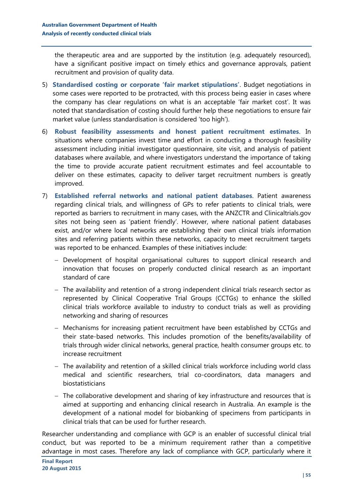the therapeutic area and are supported by the institution (e.g. adequately resourced), have a significant positive impact on timely ethics and governance approvals, patient recruitment and provision of quality data.

- 5) **Standardised costing or corporate 'fair market stipulations'**. Budget negotiations in some cases were reported to be protracted, with this process being easier in cases where the company has clear regulations on what is an acceptable 'fair market cost'. It was noted that standardisation of costing should further help these negotiations to ensure fair market value (unless standardisation is considered 'too high').
- 6) **Robust feasibility assessments and honest patient recruitment estimates**. In situations where companies invest time and effort in conducting a thorough feasibility assessment including initial investigator questionnaire, site visit, and analysis of patient databases where available, and where investigators understand the importance of taking the time to provide accurate patient recruitment estimates and feel accountable to deliver on these estimates, capacity to deliver target recruitment numbers is greatly improved.
- 7) **Established referral networks and national patient databases**. Patient awareness regarding clinical trials, and willingness of GPs to refer patients to clinical trials, were reported as barriers to recruitment in many cases, with the ANZCTR and Clinicaltrials.gov sites not being seen as 'patient friendly'. However, where national patient databases exist, and/or where local networks are establishing their own clinical trials information sites and referring patients within these networks, capacity to meet recruitment targets was reported to be enhanced. Examples of these initiatives include:
	- Development of hospital organisational cultures to support clinical research and innovation that focuses on properly conducted clinical research as an important standard of care
	- $-$  The availability and retention of a strong independent clinical trials research sector as represented by Clinical Cooperative Trial Groups (CCTGs) to enhance the skilled clinical trials workforce available to industry to conduct trials as well as providing networking and sharing of resources
	- Mechanisms for increasing patient recruitment have been established by CCTGs and their state-based networks. This includes promotion of the benefits/availability of trials through wider clinical networks, general practice, health consumer groups etc. to increase recruitment
	- The availability and retention of a skilled clinical trials workforce including world class medical and scientific researchers, trial co-coordinators, data managers and biostatisticians
	- The collaborative development and sharing of key infrastructure and resources that is aimed at supporting and enhancing clinical research in Australia. An example is the development of a national model for biobanking of specimens from participants in clinical trials that can be used for further research.

Researcher understanding and compliance with GCP is an enabler of successful clinical trial conduct, but was reported to be a minimum requirement rather than a competitive advantage in most cases. Therefore any lack of compliance with GCP, particularly where it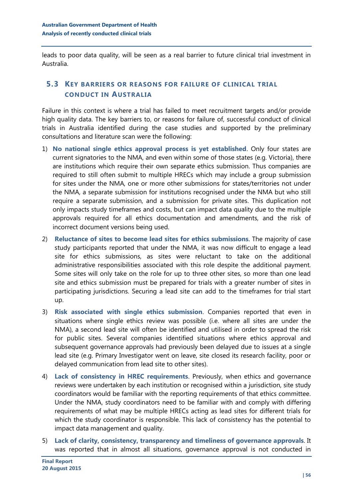leads to poor data quality, will be seen as a real barrier to future clinical trial investment in Australia.

## <span id="page-55-0"></span>**5.3 KEY BARRIERS OR REASONS FOR FAILURE OF CLINICAL TRIAL CONDUCT IN AUSTRALIA**

Failure in this context is where a trial has failed to meet recruitment targets and/or provide high quality data. The key barriers to, or reasons for failure of, successful conduct of clinical trials in Australia identified during the case studies and supported by the preliminary consultations and literature scan were the following:

- 1) **No national single ethics approval process is yet established**. Only four states are current signatories to the NMA, and even within some of those states (e.g. Victoria), there are institutions which require their own separate ethics submission. Thus companies are required to still often submit to multiple HRECs which may include a group submission for sites under the NMA, one or more other submissions for states/territories not under the NMA, a separate submission for institutions recognised under the NMA but who still require a separate submission, and a submission for private sites. This duplication not only impacts study timeframes and costs, but can impact data quality due to the multiple approvals required for all ethics documentation and amendments, and the risk of incorrect document versions being used.
- 2) **Reluctance of sites to become lead sites for ethics submissions**. The majority of case study participants reported that under the NMA, it was now difficult to engage a lead site for ethics submissions, as sites were reluctant to take on the additional administrative responsibilities associated with this role despite the additional payment. Some sites will only take on the role for up to three other sites, so more than one lead site and ethics submission must be prepared for trials with a greater number of sites in participating jurisdictions. Securing a lead site can add to the timeframes for trial start up.
- 3) **Risk associated with single ethics submission**. Companies reported that even in situations where single ethics review was possible (i.e. where all sites are under the NMA), a second lead site will often be identified and utilised in order to spread the risk for public sites. Several companies identified situations where ethics approval and subsequent governance approvals had previously been delayed due to issues at a single lead site (e.g. Primary Investigator went on leave, site closed its research facility, poor or delayed communication from lead site to other sites).
- 4) **Lack of consistency in HREC requirements**. Previously, when ethics and governance reviews were undertaken by each institution or recognised within a jurisdiction, site study coordinators would be familiar with the reporting requirements of that ethics committee. Under the NMA, study coordinators need to be familiar with and comply with differing requirements of what may be multiple HRECs acting as lead sites for different trials for which the study coordinator is responsible. This lack of consistency has the potential to impact data management and quality.
- 5) **Lack of clarity, consistency, transparency and timeliness of governance approvals**. It was reported that in almost all situations, governance approval is not conducted in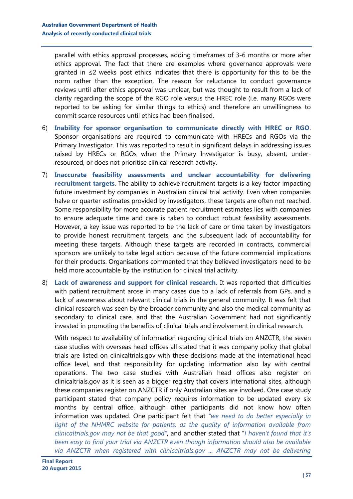parallel with ethics approval processes, adding timeframes of 3-6 months or more after ethics approval. The fact that there are examples where governance approvals were granted in  $\leq 2$  weeks post ethics indicates that there is opportunity for this to be the norm rather than the exception. The reason for reluctance to conduct governance reviews until after ethics approval was unclear, but was thought to result from a lack of clarity regarding the scope of the RGO role versus the HREC role (i.e. many RGOs were reported to be asking for similar things to ethics) and therefore an unwillingness to commit scarce resources until ethics had been finalised.

- 6) **Inability for sponsor organisation to communicate directly with HREC or RGO**. Sponsor organisations are required to communicate with HRECs and RGOs via the Primary Investigator. This was reported to result in significant delays in addressing issues raised by HRECs or RGOs when the Primary Investigator is busy, absent, underresourced, or does not prioritise clinical research activity.
- 7) **Inaccurate feasibility assessments and unclear accountability for delivering recruitment targets**. The ability to achieve recruitment targets is a key factor impacting future investment by companies in Australian clinical trial activity. Even when companies halve or quarter estimates provided by investigators, these targets are often not reached. Some responsibility for more accurate patient recruitment estimates lies with companies to ensure adequate time and care is taken to conduct robust feasibility assessments. However, a key issue was reported to be the lack of care or time taken by investigators to provide honest recruitment targets, and the subsequent lack of accountability for meeting these targets. Although these targets are recorded in contracts, commercial sponsors are unlikely to take legal action because of the future commercial implications for their products. Organisations commented that they believed investigators need to be held more accountable by the institution for clinical trial activity.
- 8) **Lack of awareness and support for clinical research.** It was reported that difficulties with patient recruitment arose in many cases due to a lack of referrals from GPs, and a lack of awareness about relevant clinical trials in the general community. It was felt that clinical research was seen by the broader community and also the medical community as secondary to clinical care, and that the Australian Government had not significantly invested in promoting the benefits of clinical trials and involvement in clinical research.

With respect to availability of information regarding clinical trials on ANZCTR, the seven case studies with overseas head offices all stated that it was company policy that global trials are listed on clinicaltrials.gov with these decisions made at the international head office level, and that responsibility for updating information also lay with central operations. The two case studies with Australian head offices also register on clinicaltrials.gov as it is seen as a bigger registry that covers international sites, although these companies register on ANZCTR if only Australian sites are involved. One case study participant stated that company policy requires information to be updated every six months by central office, although other participants did not know how often information was updated. One participant felt that *"we need to do better especially in light of the NHMRC website for patients, as the quality of information available from clinicaltrials.gov may not be that good"*, and another stated that "*I haven't found that it's been easy to find your trial via ANZCTR even though information should also be available via ANZCTR when registered with clinicaltrials.gov ... ANZCTR may not be delivering*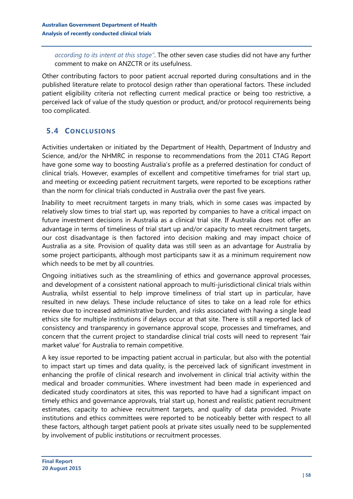*according to its intent at this stage"*. The other seven case studies did not have any further comment to make on ANZCTR or its usefulness.

Other contributing factors to poor patient accrual reported during consultations and in the published literature relate to protocol design rather than operational factors. These included patient eligibility criteria not reflecting current medical practice or being too restrictive, a perceived lack of value of the study question or product, and/or protocol requirements being too complicated.

## <span id="page-57-0"></span>**5.4 CONCLUSIONS**

Activities undertaken or initiated by the Department of Health, Department of Industry and Science, and/or the NHMRC in response to recommendations from the 2011 CTAG Report have gone some way to boosting Australia's profile as a preferred destination for conduct of clinical trials. However, examples of excellent and competitive timeframes for trial start up, and meeting or exceeding patient recruitment targets, were reported to be exceptions rather than the norm for clinical trials conducted in Australia over the past five years.

Inability to meet recruitment targets in many trials, which in some cases was impacted by relatively slow times to trial start up, was reported by companies to have a critical impact on future investment decisions in Australia as a clinical trial site. If Australia does not offer an advantage in terms of timeliness of trial start up and/or capacity to meet recruitment targets, our cost disadvantage is then factored into decision making and may impact choice of Australia as a site. Provision of quality data was still seen as an advantage for Australia by some project participants, although most participants saw it as a minimum requirement now which needs to be met by all countries.

Ongoing initiatives such as the streamlining of ethics and governance approval processes, and development of a consistent national approach to multi-jurisdictional clinical trials within Australia, whilst essential to help improve timeliness of trial start up in particular, have resulted in new delays. These include reluctance of sites to take on a lead role for ethics review due to increased administrative burden, and risks associated with having a single lead ethics site for multiple institutions if delays occur at that site. There is still a reported lack of consistency and transparency in governance approval scope, processes and timeframes, and concern that the current project to standardise clinical trial costs will need to represent 'fair market value' for Australia to remain competitive.

A key issue reported to be impacting patient accrual in particular, but also with the potential to impact start up times and data quality, is the perceived lack of significant investment in enhancing the profile of clinical research and involvement in clinical trial activity within the medical and broader communities. Where investment had been made in experienced and dedicated study coordinators at sites, this was reported to have had a significant impact on timely ethics and governance approvals, trial start up, honest and realistic patient recruitment estimates, capacity to achieve recruitment targets, and quality of data provided. Private institutions and ethics committees were reported to be noticeably better with respect to all these factors, although target patient pools at private sites usually need to be supplemented by involvement of public institutions or recruitment processes.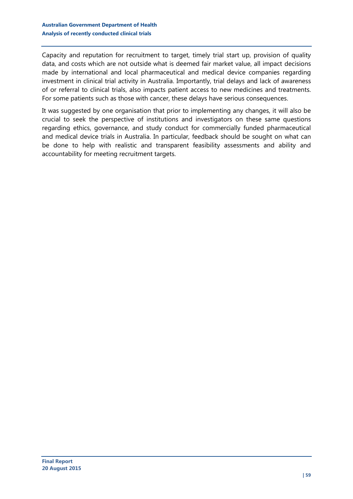Capacity and reputation for recruitment to target, timely trial start up, provision of quality data, and costs which are not outside what is deemed fair market value, all impact decisions made by international and local pharmaceutical and medical device companies regarding investment in clinical trial activity in Australia. Importantly, trial delays and lack of awareness of or referral to clinical trials, also impacts patient access to new medicines and treatments. For some patients such as those with cancer, these delays have serious consequences.

It was suggested by one organisation that prior to implementing any changes, it will also be crucial to seek the perspective of institutions and investigators on these same questions regarding ethics, governance, and study conduct for commercially funded pharmaceutical and medical device trials in Australia. In particular, feedback should be sought on what can be done to help with realistic and transparent feasibility assessments and ability and accountability for meeting recruitment targets.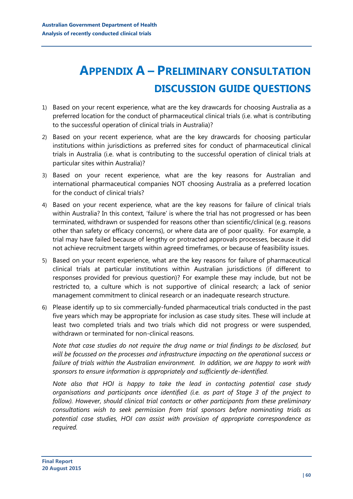## <span id="page-59-0"></span>**APPENDIX A – PRELIMINARY CONSULTATION DISCUSSION GUIDE QUESTIONS**

- 1) Based on your recent experience, what are the key drawcards for choosing Australia as a preferred location for the conduct of pharmaceutical clinical trials (i.e. what is contributing to the successful operation of clinical trials in Australia)?
- 2) Based on your recent experience, what are the key drawcards for choosing particular institutions within jurisdictions as preferred sites for conduct of pharmaceutical clinical trials in Australia (i.e. what is contributing to the successful operation of clinical trials at particular sites within Australia)?
- 3) Based on your recent experience, what are the key reasons for Australian and international pharmaceutical companies NOT choosing Australia as a preferred location for the conduct of clinical trials?
- 4) Based on your recent experience, what are the key reasons for failure of clinical trials within Australia? In this context, 'failure' is where the trial has not progressed or has been terminated, withdrawn or suspended for reasons other than scientific/clinical (e.g. reasons other than safety or efficacy concerns), or where data are of poor quality. For example, a trial may have failed because of lengthy or protracted approvals processes, because it did not achieve recruitment targets within agreed timeframes, or because of feasibility issues.
- 5) Based on your recent experience, what are the key reasons for failure of pharmaceutical clinical trials at particular institutions within Australian jurisdictions (if different to responses provided for previous question)? For example these may include, but not be restricted to, a culture which is not supportive of clinical research; a lack of senior management commitment to clinical research or an inadequate research structure.
- 6) Please identify up to six commercially-funded pharmaceutical trials conducted in the past five years which may be appropriate for inclusion as case study sites. These will include at least two completed trials and two trials which did not progress or were suspended, withdrawn or terminated for non-clinical reasons.

*Note that case studies do not require the drug name or trial findings to be disclosed, but will be focussed on the processes and infrastructure impacting on the operational success or failure of trials within the Australian environment. In addition, we are happy to work with sponsors to ensure information is appropriately and sufficiently de-identified.*

*Note also that HOI is happy to take the lead in contacting potential case study organisations and participants once identified (i.e. as part of Stage 3 of the project to follow). However, should clinical trial contacts or other participants from these preliminary consultations wish to seek permission from trial sponsors before nominating trials as potential case studies, HOI can assist with provision of appropriate correspondence as required.*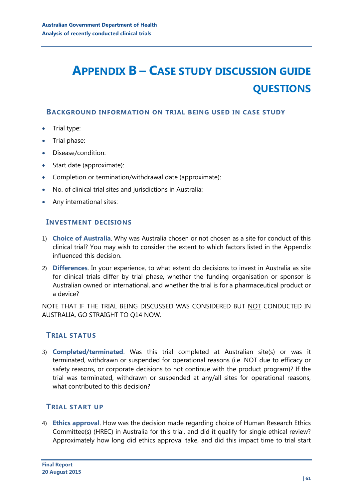## <span id="page-60-0"></span>**APPENDIX B – CASE STUDY DISCUSSION GUIDE QUESTIONS**

#### **BACKGROUND INFORMATION ON TRIAL BEING USED IN CASE STUDY**

- Trial type:
- Trial phase:
- Disease/condition:
- Start date (approximate):
- Completion or termination/withdrawal date (approximate):
- No. of clinical trial sites and jurisdictions in Australia:
- Any international sites:

### **INVESTMENT DECISIONS**

- 1) **Choice of Australia**. Why was Australia chosen or not chosen as a site for conduct of this clinical trial? You may wish to consider the extent to which factors listed in the Appendix influenced this decision.
- 2) **Differences**. In your experience, to what extent do decisions to invest in Australia as site for clinical trials differ by trial phase, whether the funding organisation or sponsor is Australian owned or international, and whether the trial is for a pharmaceutical product or a device?

NOTE THAT IF THE TRIAL BEING DISCUSSED WAS CONSIDERED BUT NOT CONDUCTED IN AUSTRALIA, GO STRAIGHT TO Q14 NOW.

## **TRIAL STATUS**

3) **Completed/terminated**. Was this trial completed at Australian site(s) or was it terminated, withdrawn or suspended for operational reasons (i.e. NOT due to efficacy or safety reasons, or corporate decisions to not continue with the product program)? If the trial was terminated, withdrawn or suspended at any/all sites for operational reasons, what contributed to this decision?

## **TRIAL START UP**

4) **Ethics approval**. How was the decision made regarding choice of Human Research Ethics Committee(s) (HREC) in Australia for this trial, and did it qualify for single ethical review? Approximately how long did ethics approval take, and did this impact time to trial start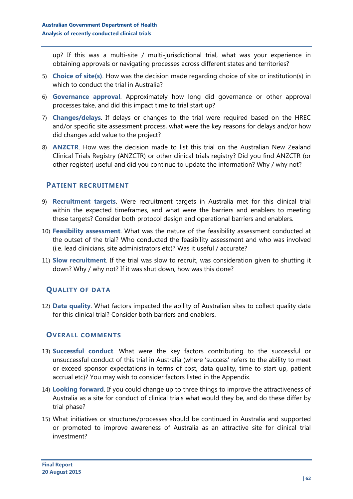up? If this was a multi-site / multi-jurisdictional trial, what was your experience in obtaining approvals or navigating processes across different states and territories?

- 5) **Choice of site(s)**. How was the decision made regarding choice of site or institution(s) in which to conduct the trial in Australia?
- 6) **Governance approval**. Approximately how long did governance or other approval processes take, and did this impact time to trial start up?
- 7) **Changes/delays**. If delays or changes to the trial were required based on the HREC and/or specific site assessment process, what were the key reasons for delays and/or how did changes add value to the project?
- 8) **ANZCTR**. How was the decision made to list this trial on the Australian New Zealand Clinical Trials Registry (ANZCTR) or other clinical trials registry? Did you find ANZCTR (or other register) useful and did you continue to update the information? Why / why not?

### **PATIENT RECRUITMENT**

- 9) **Recruitment targets**. Were recruitment targets in Australia met for this clinical trial within the expected timeframes, and what were the barriers and enablers to meeting these targets? Consider both protocol design and operational barriers and enablers.
- 10) **Feasibility assessment**. What was the nature of the feasibility assessment conducted at the outset of the trial? Who conducted the feasibility assessment and who was involved (i.e. lead clinicians, site administrators etc)? Was it useful / accurate?
- 11) **Slow recruitment**. If the trial was slow to recruit, was consideration given to shutting it down? Why / why not? If it was shut down, how was this done?

## **QUALITY OF DATA**

12) **Data quality**. What factors impacted the ability of Australian sites to collect quality data for this clinical trial? Consider both barriers and enablers.

## **OVERALL COMMENTS**

- 13) **Successful conduct**. What were the key factors contributing to the successful or unsuccessful conduct of this trial in Australia (where 'success' refers to the ability to meet or exceed sponsor expectations in terms of cost, data quality, time to start up, patient accrual etc)? You may wish to consider factors listed in the Appendix.
- 14) **Looking forward**. If you could change up to three things to improve the attractiveness of Australia as a site for conduct of clinical trials what would they be, and do these differ by trial phase?
- 15) What initiatives or structures/processes should be continued in Australia and supported or promoted to improve awareness of Australia as an attractive site for clinical trial investment?